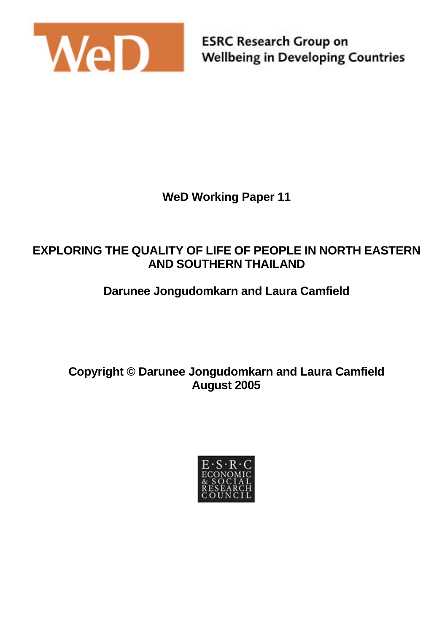

**ESRC Research Group on Wellbeing in Developing Countries** 

**WeD Working Paper 11**

## **EXPLORING THE QUALITY OF LIFE OF PEOPLE IN NORTH EASTERN AND SOUTHERN THAILAND**

# **Darunee Jongudomkarn and Laura Camfield**

**Copyright © Darunee Jongudomkarn and Laura Camfield August 2005**

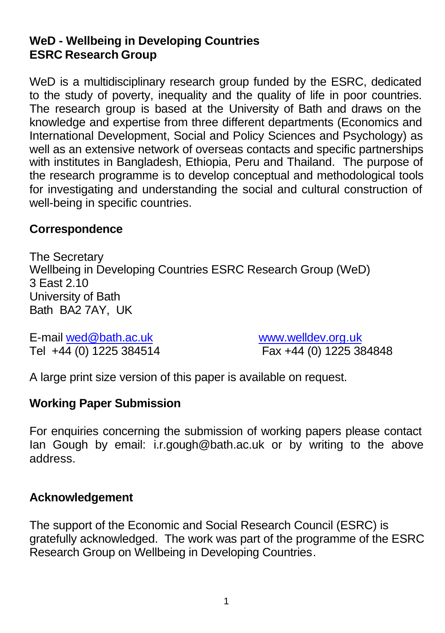### **WeD - Wellbeing in Developing Countries ESRC Research Group**

WeD is a multidisciplinary research group funded by the ESRC, dedicated to the study of poverty, inequality and the quality of life in poor countries. The research group is based at the University of Bath and draws on the knowledge and expertise from three different departments (Economics and International Development, Social and Policy Sciences and Psychology) as well as an extensive network of overseas contacts and specific partnerships with institutes in Bangladesh, Ethiopia, Peru and Thailand. The purpose of the research programme is to develop conceptual and methodological tools for investigating and understanding the social and cultural construction of well-being in specific countries.

#### **Correspondence**

The Secretary Wellbeing in Developing Countries ESRC Research Group (WeD) 3 East 2.10 University of Bath Bath BA2 7AY, UK

E-mail wed@bath.ac.uk www.welldev.org.uk Tel +44 (0) 1225 384514 Fax +44 (0) 1225 384848

A large print size version of this paper is available on request.

### **Working Paper Submission**

For enquiries concerning the submission of working papers please contact Ian Gough by email: i.r.gough@bath.ac.uk or by writing to the above address.

### **Acknowledgement**

The support of the Economic and Social Research Council (ESRC) is gratefully acknowledged. The work was part of the programme of the ESRC Research Group on Wellbeing in Developing Countries.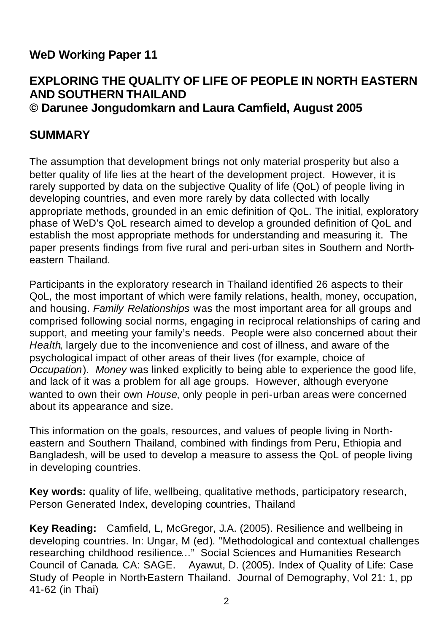## **WeD Working Paper 11**

#### **EXPLORING THE QUALITY OF LIFE OF PEOPLE IN NORTH EASTERN AND SOUTHERN THAILAND © Darunee Jongudomkarn and Laura Camfield, August 2005**

#### **SUMMARY**

The assumption that development brings not only material prosperity but also a better quality of life lies at the heart of the development project. However, it is rarely supported by data on the subjective Quality of life (QoL) of people living in developing countries, and even more rarely by data collected with locally appropriate methods, grounded in an emic definition of QoL. The initial, exploratory phase of WeD's QoL research aimed to develop a grounded definition of QoL and establish the most appropriate methods for understanding and measuring it. The paper presents findings from five rural and peri-urban sites in Southern and Northeastern Thailand.

Participants in the exploratory research in Thailand identified 26 aspects to their QoL, the most important of which were family relations, health, money, occupation, and housing. *Family Relationships* was the most important area for all groups and comprised following social norms, engaging in reciprocal relationships of caring and support, and meeting your family's needs. People were also concerned about their *Health*, largely due to the inconvenience and cost of illness, and aware of the psychological impact of other areas of their lives (for example, choice of *Occupation*). *Money* was linked explicitly to being able to experience the good life, and lack of it was a problem for all age groups. However, although everyone wanted to own their own *House*, only people in peri-urban areas were concerned about its appearance and size.

This information on the goals, resources, and values of people living in Northeastern and Southern Thailand, combined with findings from Peru, Ethiopia and Bangladesh, will be used to develop a measure to assess the QoL of people living in developing countries.

**Key words:** quality of life, wellbeing, qualitative methods, participatory research, Person Generated Index, developing countries, Thailand

**Key Reading:** Camfield, L, McGregor, J.A. (2005). Resilience and wellbeing in developing countries. In: Ungar, M (ed). "Methodological and contextual challenges researching childhood resilience…" Social Sciences and Humanities Research Council of Canada. CA: SAGE. Ayawut, D. (2005). Index of Quality of Life: Case Study of People in North-Eastern Thailand. Journal of Demography, Vol 21: 1, pp 41-62 (in Thai)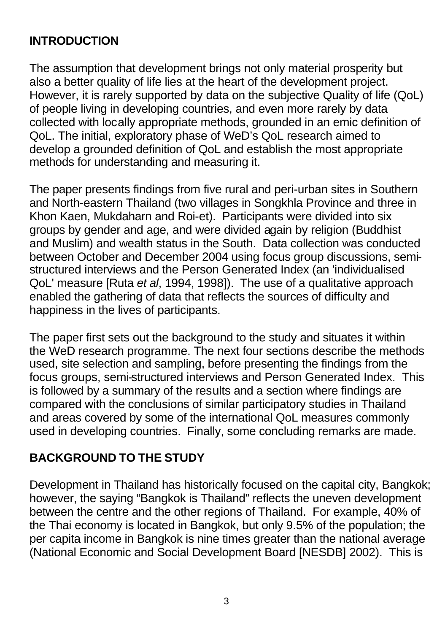## **INTRODUCTION**

The assumption that development brings not only material prosperity but also a better quality of life lies at the heart of the development project. However, it is rarely supported by data on the subjective Quality of life (QoL) of people living in developing countries, and even more rarely by data collected with locally appropriate methods, grounded in an emic definition of QoL. The initial, exploratory phase of WeD's QoL research aimed to develop a grounded definition of QoL and establish the most appropriate methods for understanding and measuring it.

The paper presents findings from five rural and peri-urban sites in Southern and North-eastern Thailand (two villages in Songkhla Province and three in Khon Kaen, Mukdaharn and Roi-et). Participants were divided into six groups by gender and age, and were divided again by religion (Buddhist and Muslim) and wealth status in the South. Data collection was conducted between October and December 2004 using focus group discussions, semistructured interviews and the Person Generated Index (an 'individualised QoL' measure [Ruta *et al*, 1994, 1998]). The use of a qualitative approach enabled the gathering of data that reflects the sources of difficulty and happiness in the lives of participants.

The paper first sets out the background to the study and situates it within the WeD research programme. The next four sections describe the methods used, site selection and sampling, before presenting the findings from the focus groups, semi-structured interviews and Person Generated Index. This is followed by a summary of the results and a section where findings are compared with the conclusions of similar participatory studies in Thailand and areas covered by some of the international QoL measures commonly used in developing countries. Finally, some concluding remarks are made.

# **BACKGROUND TO THE STUDY**

Development in Thailand has historically focused on the capital city, Bangkok; however, the saying "Bangkok is Thailand" reflects the uneven development between the centre and the other regions of Thailand. For example, 40% of the Thai economy is located in Bangkok, but only 9.5% of the population; the per capita income in Bangkok is nine times greater than the national average (National Economic and Social Development Board [NESDB] 2002). This is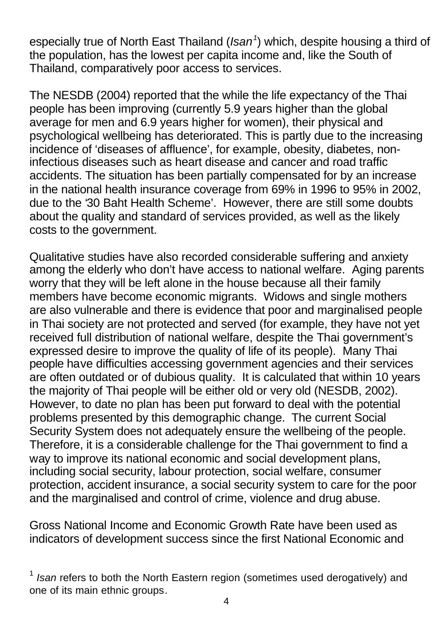especially true of North East Thailand (*Isan<sup>1</sup>* ) which, despite housing a third of the population, has the lowest per capita income and, like the South of Thailand, comparatively poor access to services.

The NESDB (2004) reported that the while the life expectancy of the Thai people has been improving (currently 5.9 years higher than the global average for men and 6.9 years higher for women), their physical and psychological wellbeing has deteriorated. This is partly due to the increasing incidence of 'diseases of affluence', for example, obesity, diabetes, noninfectious diseases such as heart disease and cancer and road traffic accidents. The situation has been partially compensated for by an increase in the national health insurance coverage from 69% in 1996 to 95% in 2002, due to the '30 Baht Health Scheme'. However, there are still some doubts about the quality and standard of services provided, as well as the likely costs to the government.

Qualitative studies have also recorded considerable suffering and anxiety among the elderly who don't have access to national welfare. Aging parents worry that they will be left alone in the house because all their family members have become economic migrants. Widows and single mothers are also vulnerable and there is evidence that poor and marginalised people in Thai society are not protected and served (for example, they have not yet received full distribution of national welfare, despite the Thai government's expressed desire to improve the quality of life of its people). Many Thai people have difficulties accessing government agencies and their services are often outdated or of dubious quality. It is calculated that within 10 years the majority of Thai people will be either old or very old (NESDB, 2002). However, to date no plan has been put forward to deal with the potential problems presented by this demographic change. The current Social Security System does not adequately ensure the wellbeing of the people. Therefore, it is a considerable challenge for the Thai government to find a way to improve its national economic and social development plans. including social security, labour protection, social welfare, consumer protection, accident insurance, a social security system to care for the poor and the marginalised and control of crime, violence and drug abuse.

Gross National Income and Economic Growth Rate have been used as indicators of development success since the first National Economic and

<sup>&</sup>lt;sup>1</sup> Isan refers to both the North Eastern region (sometimes used derogatively) and one of its main ethnic groups.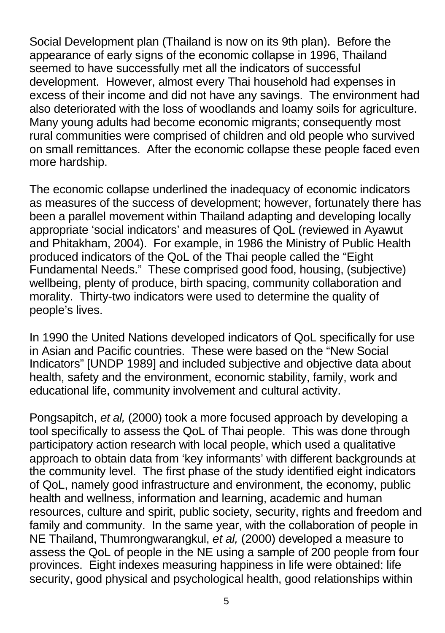Social Development plan (Thailand is now on its 9th plan). Before the appearance of early signs of the economic collapse in 1996, Thailand seemed to have successfully met all the indicators of successful development. However, almost every Thai household had expenses in excess of their income and did not have any savings. The environment had also deteriorated with the loss of woodlands and loamy soils for agriculture. Many young adults had become economic migrants; consequently most rural communities were comprised of children and old people who survived on small remittances. After the economic collapse these people faced even more hardship.

The economic collapse underlined the inadequacy of economic indicators as measures of the success of development; however, fortunately there has been a parallel movement within Thailand adapting and developing locally appropriate 'social indicators' and measures of QoL (reviewed in Ayawut and Phitakham, 2004). For example, in 1986 the Ministry of Public Health produced indicators of the QoL of the Thai people called the "Eight Fundamental Needs." These comprised good food, housing, (subjective) wellbeing, plenty of produce, birth spacing, community collaboration and morality. Thirty-two indicators were used to determine the quality of people's lives.

In 1990 the United Nations developed indicators of QoL specifically for use in Asian and Pacific countries. These were based on the "New Social Indicators" [UNDP 1989] and included subjective and objective data about health, safety and the environment, economic stability, family, work and educational life, community involvement and cultural activity.

Pongsapitch, *et al,* (2000) took a more focused approach by developing a tool specifically to assess the QoL of Thai people. This was done through participatory action research with local people, which used a qualitative approach to obtain data from 'key informants' with different backgrounds at the community level. The first phase of the study identified eight indicators of QoL, namely good infrastructure and environment, the economy, public health and wellness, information and learning, academic and human resources, culture and spirit, public society, security, rights and freedom and family and community. In the same year, with the collaboration of people in NE Thailand, Thumrongwarangkul, *et al,* (2000) developed a measure to assess the QoL of people in the NE using a sample of 200 people from four provinces. Eight indexes measuring happiness in life were obtained: life security, good physical and psychological health, good relationships within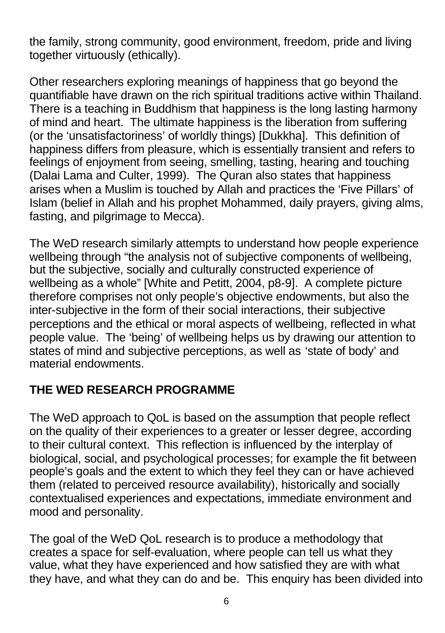the family, strong community, good environment, freedom, pride and living together virtuously (ethically).

Other researchers exploring meanings of happiness that go beyond the quantifiable have drawn on the rich spiritual traditions active within Thailand. There is a teaching in Buddhism that happiness is the long lasting harmony of mind and heart. The ultimate happiness is the liberation from suffering (or the 'unsatisfactoriness' of worldly things) [Dukkha]. This definition of happiness differs from pleasure, which is essentially transient and refers to feelings of enjoyment from seeing, smelling, tasting, hearing and touching (Dalai Lama and Culter, 1999). The Quran also states that happiness arises when a Muslim is touched by Allah and practices the 'Five Pillars' of Islam (belief in Allah and his prophet Mohammed, daily prayers, giving alms, fasting, and pilgrimage to Mecca).

The WeD research similarly attempts to understand how people experience wellbeing through "the analysis not of subjective components of wellbeing, but the subjective, socially and culturally constructed experience of wellbeing as a whole" [White and Petitt, 2004, p8-9]. A complete picture therefore comprises not only people's objective endowments, but also the inter-subjective in the form of their social interactions, their subjective perceptions and the ethical or moral aspects of wellbeing, reflected in what people value. The 'being' of wellbeing helps us by drawing our attention to states of mind and subjective perceptions, as well as 'state of body' and material endowments.

# **THE WED RESEARCH PROGRAMME**

The WeD approach to QoL is based on the assumption that people reflect on the quality of their experiences to a greater or lesser degree, according to their cultural context. This reflection is influenced by the interplay of biological, social, and psychological processes; for example the fit between people's goals and the extent to which they feel they can or have achieved them (related to perceived resource availability), historically and socially contextualised experiences and expectations, immediate environment and mood and personality.

The goal of the WeD QoL research is to produce a methodology that creates a space for self-evaluation, where people can tell us what they value, what they have experienced and how satisfied they are with what they have, and what they can do and be. This enquiry has been divided into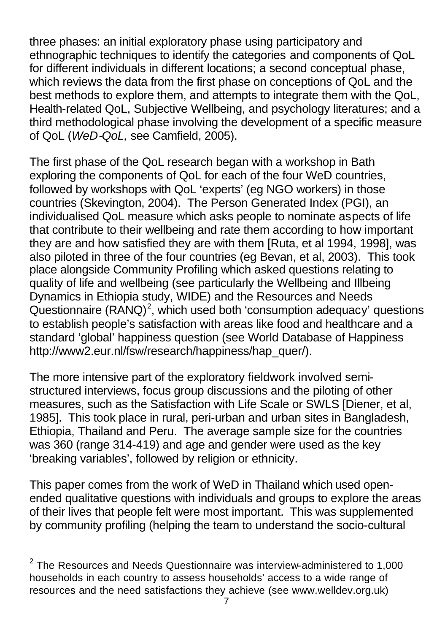three phases: an initial exploratory phase using participatory and ethnographic techniques to identify the categories and components of QoL for different individuals in different locations; a second conceptual phase, which reviews the data from the first phase on conceptions of QoL and the best methods to explore them, and attempts to integrate them with the QoL, Health-related QoL, Subjective Wellbeing, and psychology literatures; and a third methodological phase involving the development of a specific measure of QoL (*WeD-QoL,* see Camfield, 2005).

The first phase of the QoL research began with a workshop in Bath exploring the components of QoL for each of the four WeD countries, followed by workshops with QoL 'experts' (eg NGO workers) in those countries (Skevington, 2004). The Person Generated Index (PGI), an individualised QoL measure which asks people to nominate aspects of life that contribute to their wellbeing and rate them according to how important they are and how satisfied they are with them [Ruta, et al 1994, 1998], was also piloted in three of the four countries (eg Bevan, et al, 2003). This took place alongside Community Profiling which asked questions relating to quality of life and wellbeing (see particularly the Wellbeing and Illbeing Dynamics in Ethiopia study, WIDE) and the Resources and Needs Questionnaire  $(RANO)^2$ , which used both 'consumption adequacy' questions to establish people's satisfaction with areas like food and healthcare and a standard 'global' happiness question (see World Database of Happiness http://www2.eur.nl/fsw/research/happiness/hap\_quer/).

The more intensive part of the exploratory fieldwork involved semistructured interviews, focus group discussions and the piloting of other measures, such as the Satisfaction with Life Scale or SWLS [Diener, et al, 1985]. This took place in rural, peri-urban and urban sites in Bangladesh, Ethiopia, Thailand and Peru. The average sample size for the countries was 360 (range 314-419) and age and gender were used as the key 'breaking variables', followed by religion or ethnicity.

This paper comes from the work of WeD in Thailand which used openended qualitative questions with individuals and groups to explore the areas of their lives that people felt were most important. This was supplemented by community profiling (helping the team to understand the socio-cultural

 $^2$  The Resources and Needs Questionnaire was interview-administered to 1,000 households in each country to assess households' access to a wide range of resources and the need satisfactions they achieve (see www.welldev.org.uk)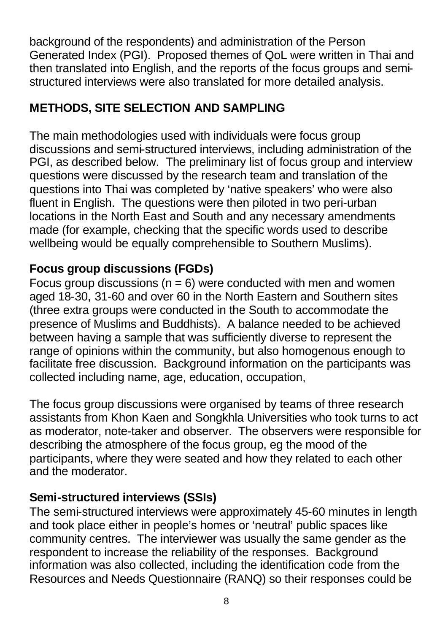background of the respondents) and administration of the Person Generated Index (PGI). Proposed themes of QoL were written in Thai and then translated into English, and the reports of the focus groups and semistructured interviews were also translated for more detailed analysis.

# **METHODS, SITE SELECTION AND SAMPLING**

The main methodologies used with individuals were focus group discussions and semi-structured interviews, including administration of the PGI, as described below. The preliminary list of focus group and interview questions were discussed by the research team and translation of the questions into Thai was completed by 'native speakers' who were also fluent in English. The questions were then piloted in two peri-urban locations in the North East and South and any necessary amendments made (for example, checking that the specific words used to describe wellbeing would be equally comprehensible to Southern Muslims).

# **Focus group discussions (FGDs)**

Focus group discussions ( $n = 6$ ) were conducted with men and women aged 18-30, 31-60 and over 60 in the North Eastern and Southern sites (three extra groups were conducted in the South to accommodate the presence of Muslims and Buddhists). A balance needed to be achieved between having a sample that was sufficiently diverse to represent the range of opinions within the community, but also homogenous enough to facilitate free discussion. Background information on the participants was collected including name, age, education, occupation,

The focus group discussions were organised by teams of three research assistants from Khon Kaen and Songkhla Universities who took turns to act as moderator, note-taker and observer. The observers were responsible for describing the atmosphere of the focus group, eg the mood of the participants, where they were seated and how they related to each other and the moderator.

# **Semi-structured interviews (SSIs)**

The semi-structured interviews were approximately 45-60 minutes in length and took place either in people's homes or 'neutral' public spaces like community centres. The interviewer was usually the same gender as the respondent to increase the reliability of the responses. Background information was also collected, including the identification code from the Resources and Needs Questionnaire (RANQ) so their responses could be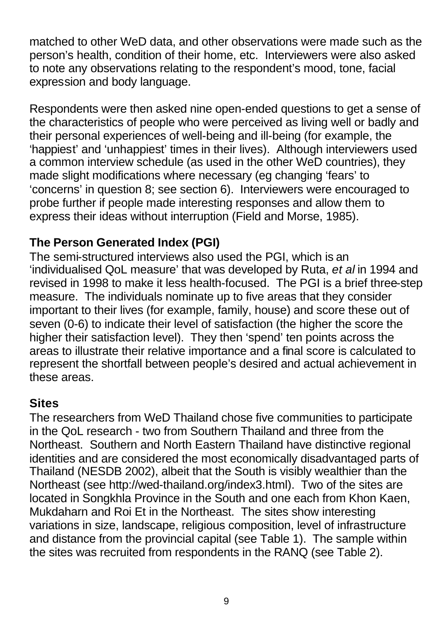matched to other WeD data, and other observations were made such as the person's health, condition of their home, etc. Interviewers were also asked to note any observations relating to the respondent's mood, tone, facial expression and body language.

Respondents were then asked nine open-ended questions to get a sense of the characteristics of people who were perceived as living well or badly and their personal experiences of well-being and ill-being (for example, the 'happiest' and 'unhappiest' times in their lives). Although interviewers used a common interview schedule (as used in the other WeD countries), they made slight modifications where necessary (eg changing 'fears' to 'concerns' in question 8; see section 6). Interviewers were encouraged to probe further if people made interesting responses and allow them to express their ideas without interruption (Field and Morse, 1985).

# **The Person Generated Index (PGI)**

The semi-structured interviews also used the PGI, which is an 'individualised QoL measure' that was developed by Ruta, *et al* in 1994 and revised in 1998 to make it less health-focused. The PGI is a brief three-step measure. The individuals nominate up to five areas that they consider important to their lives (for example, family, house) and score these out of seven (0-6) to indicate their level of satisfaction (the higher the score the higher their satisfaction level). They then 'spend' ten points across the areas to illustrate their relative importance and a final score is calculated to represent the shortfall between people's desired and actual achievement in these areas.

# **Sites**

The researchers from WeD Thailand chose five communities to participate in the QoL research - two from Southern Thailand and three from the Northeast. Southern and North Eastern Thailand have distinctive regional identities and are considered the most economically disadvantaged parts of Thailand (NESDB 2002), albeit that the South is visibly wealthier than the Northeast (see http://wed-thailand.org/index3.html). Two of the sites are located in Songkhla Province in the South and one each from Khon Kaen, Mukdaharn and Roi Et in the Northeast. The sites show interesting variations in size, landscape, religious composition, level of infrastructure and distance from the provincial capital (see Table 1). The sample within the sites was recruited from respondents in the RANQ (see Table 2).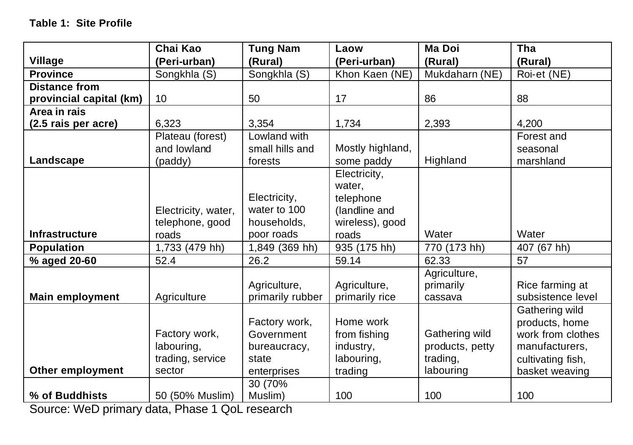|                         | Chai Kao            | <b>Tung Nam</b>  | Laow             | <b>Ma Doi</b>   | Tha               |
|-------------------------|---------------------|------------------|------------------|-----------------|-------------------|
| Village                 | (Peri-urban)        | (Rural)          | (Peri-urban)     | (Rural)         | (Rural)           |
| <b>Province</b>         | Songkhla (S)        | Songkhla (S)     | Khon Kaen (NE)   | Mukdaharn (NE)  | Roi-et (NE)       |
| <b>Distance from</b>    |                     |                  |                  |                 |                   |
| provincial capital (km) | 10                  | 50               | 17               | 86              | 88                |
| Area in rais            |                     |                  |                  |                 |                   |
| (2.5 rais per acre)     | 6,323               | 3,354            | 1,734            | 2,393           | 4,200             |
|                         | Plateau (forest)    | Lowland with     |                  |                 | Forest and        |
|                         | and lowland         | small hills and  | Mostly highland, |                 | seasonal          |
| Landscape               | (paddy)             | forests          | some paddy       | Highland        | marshland         |
|                         |                     |                  | Electricity,     |                 |                   |
|                         |                     |                  | water,           |                 |                   |
|                         |                     | Electricity,     | telephone        |                 |                   |
|                         | Electricity, water, | water to 100     | (landline and    |                 |                   |
|                         | telephone, good     | households,      | wireless), good  |                 |                   |
| <b>Infrastructure</b>   | roads               | poor roads       | roads            | Water           | Water             |
| <b>Population</b>       | 1,733 (479 hh)      | 1,849 (369 hh)   | 935 (175 hh)     | 770 (173 hh)    | 407 (67 hh)       |
| % aged 20-60            | 52.4                | 26.2             | 59.14            | 62.33           | 57                |
|                         |                     |                  |                  | Agriculture,    |                   |
|                         |                     | Agriculture,     | Agriculture,     | primarily       | Rice farming at   |
| <b>Main employment</b>  | Agriculture         | primarily rubber | primarily rice   | cassava         | subsistence level |
|                         |                     |                  |                  |                 | Gathering wild    |
|                         |                     | Factory work,    | Home work        |                 | products, home    |
|                         | Factory work,       | Government       | from fishing     | Gathering wild  | work from clothes |
|                         | labouring,          | bureaucracy,     | industry,        | products, petty | manufacturers,    |
|                         | trading, service    | state            | labouring,       | trading,        | cultivating fish, |
| Other employment        | sector              | enterprises      | trading          | labouring       | basket weaving    |
|                         |                     | 30 (70%          |                  |                 |                   |
| % of Buddhists          | 50 (50% Muslim)     | Muslim)          | 100              | 100             | 100               |

Source: WeD primary data, Phase 1 QoL research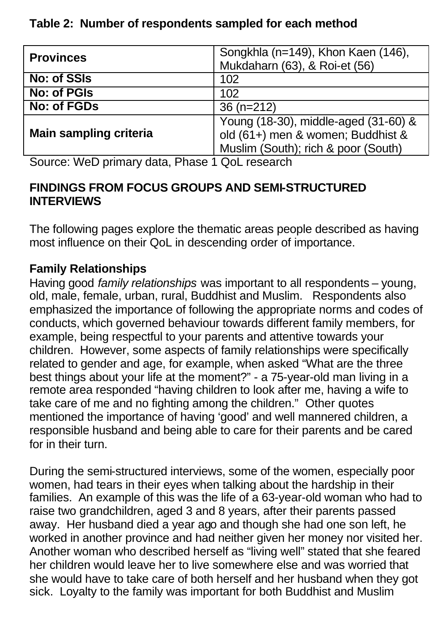### **Table 2: Number of respondents sampled for each method**

| <b>Provinces</b>              | Songkhla (n=149), Khon Kaen (146),   |  |  |
|-------------------------------|--------------------------------------|--|--|
|                               | Mukdaharn (63), & Roi-et (56)        |  |  |
| No: of SSIs                   | 102                                  |  |  |
| No: of PGIs                   | 102                                  |  |  |
| No: of FGDs                   | $36(n=212)$                          |  |  |
|                               | Young (18-30), middle-aged (31-60) & |  |  |
| <b>Main sampling criteria</b> | old (61+) men & women; Buddhist &    |  |  |
|                               | Muslim (South); rich & poor (South)  |  |  |

Source: WeD primary data, Phase 1 QoL research

#### **FINDINGS FROM FOCUS GROUPS AND SEMI-STRUCTURED INTERVIEWS**

The following pages explore the thematic areas people described as having most influence on their QoL in descending order of importance.

# **Family Relationships**

Having good *family relationships* was important to all respondents – young, old, male, female, urban, rural, Buddhist and Muslim. Respondents also emphasized the importance of following the appropriate norms and codes of conducts, which governed behaviour towards different family members, for example, being respectful to your parents and attentive towards your children. However, some aspects of family relationships were specifically related to gender and age, for example, when asked "What are the three best things about your life at the moment?" - a 75-year-old man living in a remote area responded "having children to look after me, having a wife to take care of me and no fighting among the children." Other quotes mentioned the importance of having 'good' and well mannered children, a responsible husband and being able to care for their parents and be cared for in their turn.

During the semi-structured interviews, some of the women, especially poor women, had tears in their eyes when talking about the hardship in their families. An example of this was the life of a 63-year-old woman who had to raise two grandchildren, aged 3 and 8 years, after their parents passed away. Her husband died a year ago and though she had one son left, he worked in another province and had neither given her money nor visited her. Another woman who described herself as "living well" stated that she feared her children would leave her to live somewhere else and was worried that she would have to take care of both herself and her husband when they got sick. Loyalty to the family was important for both Buddhist and Muslim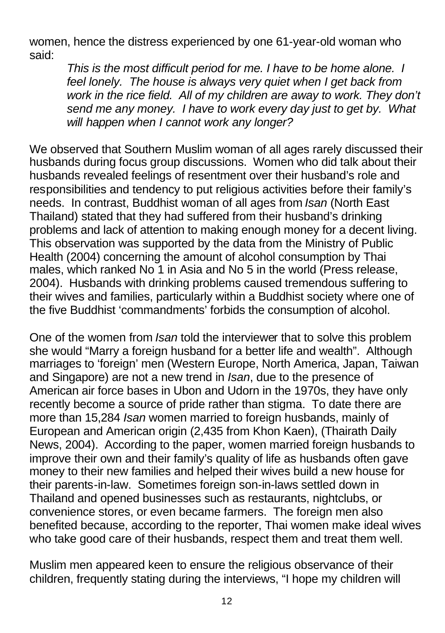women, hence the distress experienced by one 61-year-old woman who said:

*This is the most difficult period for me. I have to be home alone. I feel lonely. The house is always very quiet when I get back from work in the rice field. All of my children are away to work. They don't send me any money. I have to work every day just to get by. What will happen when I cannot work any longer?*

We observed that Southern Muslim woman of all ages rarely discussed their husbands during focus group discussions. Women who did talk about their husbands revealed feelings of resentment over their husband's role and responsibilities and tendency to put religious activities before their family's needs. In contrast, Buddhist woman of all ages from *Isan* (North East Thailand) stated that they had suffered from their husband's drinking problems and lack of attention to making enough money for a decent living. This observation was supported by the data from the Ministry of Public Health (2004) concerning the amount of alcohol consumption by Thai males, which ranked No 1 in Asia and No 5 in the world (Press release, 2004). Husbands with drinking problems caused tremendous suffering to their wives and families, particularly within a Buddhist society where one of the five Buddhist 'commandments' forbids the consumption of alcohol.

One of the women from *Isan* told the interviewer that to solve this problem she would "Marry a foreign husband for a better life and wealth". Although marriages to 'foreign' men (Western Europe, North America, Japan, Taiwan and Singapore) are not a new trend in *Isan*, due to the presence of American air force bases in Ubon and Udorn in the 1970s, they have only recently become a source of pride rather than stigma. To date there are more than 15,284 *Isan* women married to foreign husbands, mainly of European and American origin (2,435 from Khon Kaen), (Thairath Daily News, 2004). According to the paper, women married foreign husbands to improve their own and their family's quality of life as husbands often gave money to their new families and helped their wives build a new house for their parents-in-law. Sometimes foreign son-in-laws settled down in Thailand and opened businesses such as restaurants, nightclubs, or convenience stores, or even became farmers. The foreign men also benefited because, according to the reporter, Thai women make ideal wives who take good care of their husbands, respect them and treat them well.

Muslim men appeared keen to ensure the religious observance of their children, frequently stating during the interviews, "I hope my children will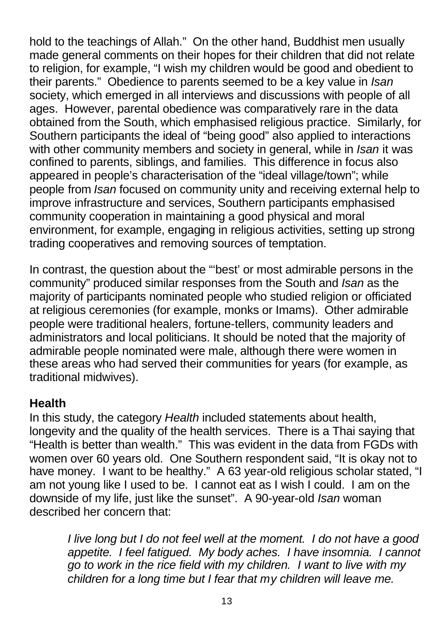hold to the teachings of Allah." On the other hand, Buddhist men usually made general comments on their hopes for their children that did not relate to religion, for example, "I wish my children would be good and obedient to their parents." Obedience to parents seemed to be a key value in *Isan* society, which emerged in all interviews and discussions with people of all ages. However, parental obedience was comparatively rare in the data obtained from the South, which emphasised religious practice. Similarly, for Southern participants the ideal of "being good" also applied to interactions with other community members and society in general, while in *Isan* it was confined to parents, siblings, and families. This difference in focus also appeared in people's characterisation of the "ideal village/town"; while people from *Isan* focused on community unity and receiving external help to improve infrastructure and services, Southern participants emphasised community cooperation in maintaining a good physical and moral environment, for example, engaging in religious activities, setting up strong trading cooperatives and removing sources of temptation.

In contrast, the question about the "'best' or most admirable persons in the community" produced similar responses from the South and *Isan* as the majority of participants nominated people who studied religion or officiated at religious ceremonies (for example, monks or Imams). Other admirable people were traditional healers, fortune-tellers, community leaders and administrators and local politicians. It should be noted that the majority of admirable people nominated were male, although there were women in these areas who had served their communities for years (for example, as traditional midwives).

### **Health**

In this study, the category *Health* included statements about health, longevity and the quality of the health services. There is a Thai saying that "Health is better than wealth." This was evident in the data from FGDs with women over 60 years old. One Southern respondent said, "It is okay not to have money. I want to be healthy." A 63 year-old religious scholar stated, "I am not young like I used to be. I cannot eat as I wish I could. I am on the downside of my life, just like the sunset". A 90-year-old *Isan* woman described her concern that:

*I live long but I do not feel well at the moment. I do not have a good appetite. I feel fatigued. My body aches. I have insomnia. I cannot go to work in the rice field with my children. I want to live with my children for a long time but I fear that my children will leave me.*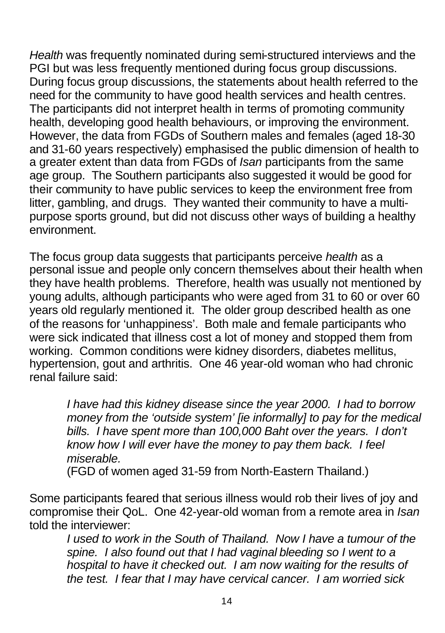*Health* was frequently nominated during semi-structured interviews and the PGI but was less frequently mentioned during focus group discussions. During focus group discussions, the statements about health referred to the need for the community to have good health services and health centres. The participants did not interpret health in terms of promoting community health, developing good health behaviours, or improving the environment. However, the data from FGDs of Southern males and females (aged 18-30 and 31-60 years respectively) emphasised the public dimension of health to a greater extent than data from FGDs of *Isan* participants from the same age group. The Southern participants also suggested it would be good for their community to have public services to keep the environment free from litter, gambling, and drugs. They wanted their community to have a multipurpose sports ground, but did not discuss other ways of building a healthy environment.

The focus group data suggests that participants perceive *health* as a personal issue and people only concern themselves about their health when they have health problems. Therefore, health was usually not mentioned by young adults, although participants who were aged from 31 to 60 or over 60 years old regularly mentioned it. The older group described health as one of the reasons for 'unhappiness'. Both male and female participants who were sick indicated that illness cost a lot of money and stopped them from working. Common conditions were kidney disorders, diabetes mellitus, hypertension, gout and arthritis. One 46 year-old woman who had chronic renal failure said:

*I have had this kidney disease since the year 2000. I had to borrow money from the 'outside system' [ie informally] to pay for the medical bills. I have spent more than 100,000 Baht over the years. I don't know how I will ever have the money to pay them back. I feel miserable.*

(FGD of women aged 31-59 from North-Eastern Thailand.)

Some participants feared that serious illness would rob their lives of joy and compromise their QoL. One 42-year-old woman from a remote area in *Isan* told the interviewer:

*I used to work in the South of Thailand. Now I have a tumour of the spine. I also found out that I had vaginal bleeding so I went to a hospital to have it checked out. I am now waiting for the results of the test. I fear that I may have cervical cancer. I am worried sick*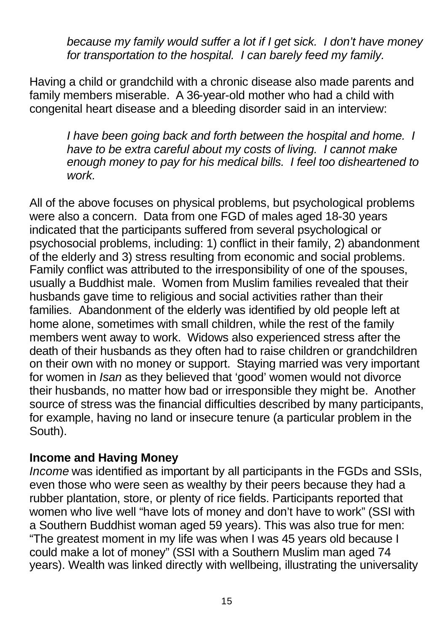*because my family would suffer a lot if I get sick. I don't have money for transportation to the hospital. I can barely feed my family.*

Having a child or grandchild with a chronic disease also made parents and family members miserable. A 36-year-old mother who had a child with congenital heart disease and a bleeding disorder said in an interview:

*I have been going back and forth between the hospital and home. I have to be extra careful about my costs of living. I cannot make enough money to pay for his medical bills. I feel too disheartened to work.*

All of the above focuses on physical problems, but psychological problems were also a concern. Data from one FGD of males aged 18-30 years indicated that the participants suffered from several psychological or psychosocial problems, including: 1) conflict in their family, 2) abandonment of the elderly and 3) stress resulting from economic and social problems. Family conflict was attributed to the irresponsibility of one of the spouses, usually a Buddhist male. Women from Muslim families revealed that their husbands gave time to religious and social activities rather than their families. Abandonment of the elderly was identified by old people left at home alone, sometimes with small children, while the rest of the family members went away to work. Widows also experienced stress after the death of their husbands as they often had to raise children or grandchildren on their own with no money or support. Staying married was very important for women in *Isan* as they believed that 'good' women would not divorce their husbands, no matter how bad or irresponsible they might be. Another source of stress was the financial difficulties described by many participants, for example, having no land or insecure tenure (a particular problem in the South).

#### **Income and Having Money**

*Income* was identified as important by all participants in the FGDs and SSIs, even those who were seen as wealthy by their peers because they had a rubber plantation, store, or plenty of rice fields. Participants reported that women who live well "have lots of money and don't have to work" (SSI with a Southern Buddhist woman aged 59 years). This was also true for men: "The greatest moment in my life was when I was 45 years old because I could make a lot of money" (SSI with a Southern Muslim man aged 74 years). Wealth was linked directly with wellbeing, illustrating the universality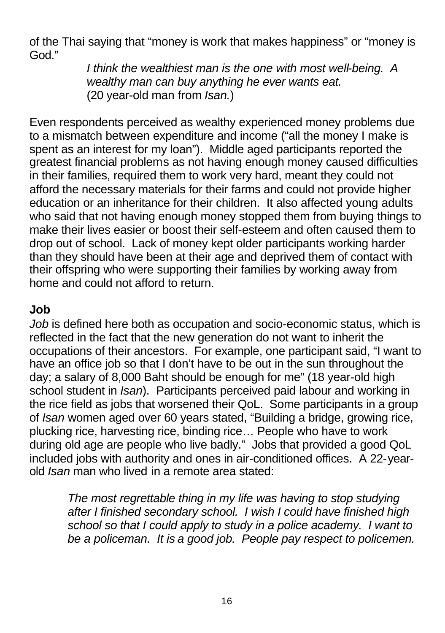of the Thai saying that "money is work that makes happiness" or "money is God."

*I think the wealthiest man is the one with most well-being. A wealthy man can buy anything he ever wants eat.*  (20 year-old man from *Isan.*)

Even respondents perceived as wealthy experienced money problems due to a mismatch between expenditure and income ("all the money I make is spent as an interest for my loan"). Middle aged participants reported the greatest financial problems as not having enough money caused difficulties in their families, required them to work very hard, meant they could not afford the necessary materials for their farms and could not provide higher education or an inheritance for their children. It also affected young adults who said that not having enough money stopped them from buying things to make their lives easier or boost their self-esteem and often caused them to drop out of school. Lack of money kept older participants working harder than they should have been at their age and deprived them of contact with their offspring who were supporting their families by working away from home and could not afford to return.

## **Job**

*Job* is defined here both as occupation and socio-economic status, which is reflected in the fact that the new generation do not want to inherit the occupations of their ancestors. For example, one participant said, "I want to have an office job so that I don't have to be out in the sun throughout the day; a salary of 8,000 Baht should be enough for me" (18 year-old high school student in *Isan*). Participants perceived paid labour and working in the rice field as jobs that worsened their QoL. Some participants in a group of *Isan* women aged over 60 years stated, "Building a bridge, growing rice, plucking rice, harvesting rice, binding rice… People who have to work during old age are people who live badly." Jobs that provided a good QoL included jobs with authority and ones in air-conditioned offices. A 22-yearold *Isan* man who lived in a remote area stated:

*The most regrettable thing in my life was having to stop studying after I finished secondary school. I wish I could have finished high school so that I could apply to study in a police academy. I want to be a policeman. It is a good job. People pay respect to policemen.*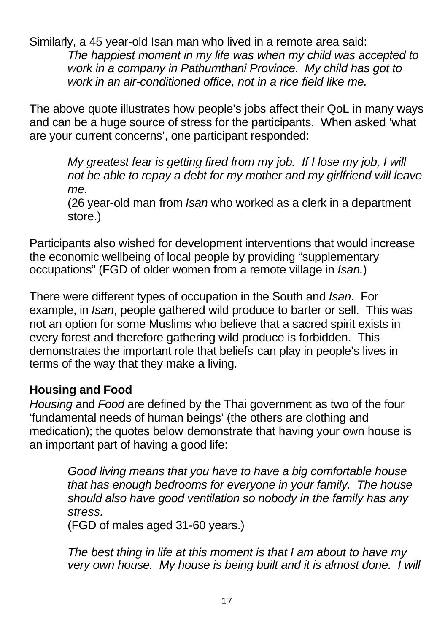Similarly, a 45 year-old Isan man who lived in a remote area said: *The happiest moment in my life was when my child was accepted to work in a company in Pathumthani Province. My child has got to work in an air-conditioned office, not in a rice field like me.*

The above quote illustrates how people's jobs affect their QoL in many ways and can be a huge source of stress for the participants. When asked 'what are your current concerns', one participant responded:

*My greatest fear is getting fired from my job. If I lose my job, I will not be able to repay a debt for my mother and my girlfriend will leave me.*

(26 year-old man from *Isan* who worked as a clerk in a department store.)

Participants also wished for development interventions that would increase the economic wellbeing of local people by providing "supplementary occupations" (FGD of older women from a remote village in *Isan.*)

There were different types of occupation in the South and *Isan*. For example, in *Isan*, people gathered wild produce to barter or sell. This was not an option for some Muslims who believe that a sacred spirit exists in every forest and therefore gathering wild produce is forbidden. This demonstrates the important role that beliefs can play in people's lives in terms of the way that they make a living.

### **Housing and Food**

*Housing* and *Food* are defined by the Thai government as two of the four 'fundamental needs of human beings' (the others are clothing and medication); the quotes below demonstrate that having your own house is an important part of having a good life:

*Good living means that you have to have a big comfortable house that has enough bedrooms for everyone in your family. The house should also have good ventilation so nobody in the family has any stress.*

(FGD of males aged 31-60 years.)

*The best thing in life at this moment is that I am about to have my very own house. My house is being built and it is almost done. I will*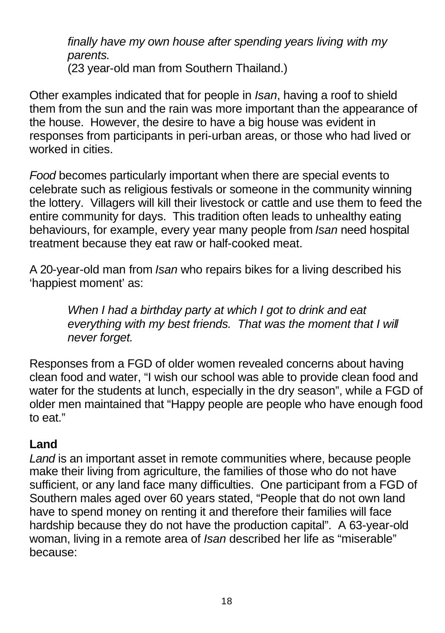*finally have my own house after spending years living with my parents.*  (23 year-old man from Southern Thailand.)

Other examples indicated that for people in *Isan*, having a roof to shield them from the sun and the rain was more important than the appearance of the house. However, the desire to have a big house was evident in responses from participants in peri-urban areas, or those who had lived or worked in cities.

*Food* becomes particularly important when there are special events to celebrate such as religious festivals or someone in the community winning the lottery. Villagers will kill their livestock or cattle and use them to feed the entire community for days. This tradition often leads to unhealthy eating behaviours, for example, every year many people from *Isan* need hospital treatment because they eat raw or half-cooked meat.

A 20-year-old man from *Isan* who repairs bikes for a living described his 'happiest moment' as:

> *When I had a birthday party at which I got to drink and eat everything with my best friends. That was the moment that I will never forget.*

Responses from a FGD of older women revealed concerns about having clean food and water, "I wish our school was able to provide clean food and water for the students at lunch, especially in the dry season", while a FGD of older men maintained that "Happy people are people who have enough food to eat."

# **Land**

*Land* is an important asset in remote communities where, because people make their living from agriculture, the families of those who do not have sufficient, or any land face many difficulties. One participant from a FGD of Southern males aged over 60 years stated, "People that do not own land have to spend money on renting it and therefore their families will face hardship because they do not have the production capital". A 63-year-old woman, living in a remote area of *Isan* described her life as "miserable" because: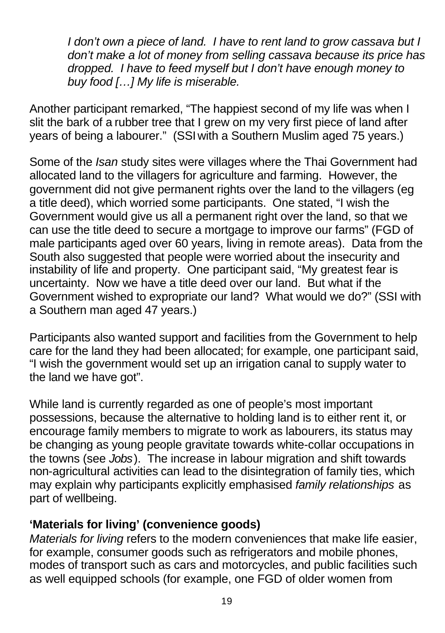*I don't own a piece of land. I have to rent land to grow cassava but I don't make a lot of money from selling cassava because its price has dropped. I have to feed myself but I don't have enough money to buy food […] My life is miserable.*

Another participant remarked, "The happiest second of my life was when I slit the bark of a rubber tree that I grew on my very first piece of land after years of being a labourer." (SSI with a Southern Muslim aged 75 years.)

Some of the *Isan* study sites were villages where the Thai Government had allocated land to the villagers for agriculture and farming. However, the government did not give permanent rights over the land to the villagers (eg a title deed), which worried some participants. One stated, "I wish the Government would give us all a permanent right over the land, so that we can use the title deed to secure a mortgage to improve our farms" (FGD of male participants aged over 60 years, living in remote areas). Data from the South also suggested that people were worried about the insecurity and instability of life and property. One participant said, "My greatest fear is uncertainty. Now we have a title deed over our land. But what if the Government wished to expropriate our land? What would we do?" (SSI with a Southern man aged 47 years.)

Participants also wanted support and facilities from the Government to help care for the land they had been allocated; for example, one participant said, "I wish the government would set up an irrigation canal to supply water to the land we have got".

While land is currently regarded as one of people's most important possessions, because the alternative to holding land is to either rent it, or encourage family members to migrate to work as labourers, its status may be changing as young people gravitate towards white-collar occupations in the towns (see *Jobs*). The increase in labour migration and shift towards non-agricultural activities can lead to the disintegration of family ties, which may explain why participants explicitly emphasised *family relationships* as part of wellbeing.

### **'Materials for living' (convenience goods)**

*Materials for living* refers to the modern conveniences that make life easier, for example, consumer goods such as refrigerators and mobile phones, modes of transport such as cars and motorcycles, and public facilities such as well equipped schools (for example, one FGD of older women from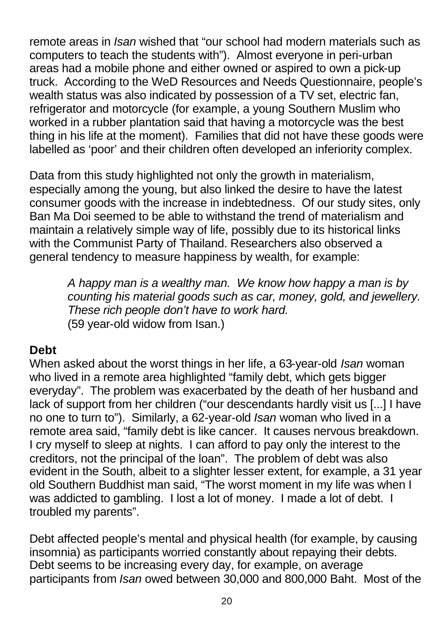remote areas in *Isan* wished that "our school had modern materials such as computers to teach the students with"). Almost everyone in peri-urban areas had a mobile phone and either owned or aspired to own a pick-up truck. According to the WeD Resources and Needs Questionnaire, people's wealth status was also indicated by possession of a TV set, electric fan, refrigerator and motorcycle (for example, a young Southern Muslim who worked in a rubber plantation said that having a motorcycle was the best thing in his life at the moment). Families that did not have these goods were labelled as 'poor' and their children often developed an inferiority complex.

Data from this study highlighted not only the growth in materialism, especially among the young, but also linked the desire to have the latest consumer goods with the increase in indebtedness. Of our study sites, only Ban Ma Doi seemed to be able to withstand the trend of materialism and maintain a relatively simple way of life, possibly due to its historical links with the Communist Party of Thailand. Researchers also observed a general tendency to measure happiness by wealth, for example:

*A happy man is a wealthy man. We know how happy a man is by counting his material goods such as car, money, gold, and jewellery. These rich people don't have to work hard.* (59 year-old widow from Isan.)

### **Debt**

When asked about the worst things in her life, a 63-year-old *Isan* woman who lived in a remote area highlighted "family debt, which gets bigger everyday". The problem was exacerbated by the death of her husband and lack of support from her children ("our descendants hardly visit us [...] I have no one to turn to"). Similarly, a 62-year-old *Isan* woman who lived in a remote area said, "family debt is like cancer. It causes nervous breakdown. I cry myself to sleep at nights. I can afford to pay only the interest to the creditors, not the principal of the loan". The problem of debt was also evident in the South, albeit to a slighter lesser extent, for example, a 31 year old Southern Buddhist man said, "The worst moment in my life was when I was addicted to gambling. I lost a lot of money. I made a lot of debt. I troubled my parents".

Debt affected people's mental and physical health (for example, by causing insomnia) as participants worried constantly about repaying their debts. Debt seems to be increasing every day, for example, on average participants from *Isan* owed between 30,000 and 800,000 Baht. Most of the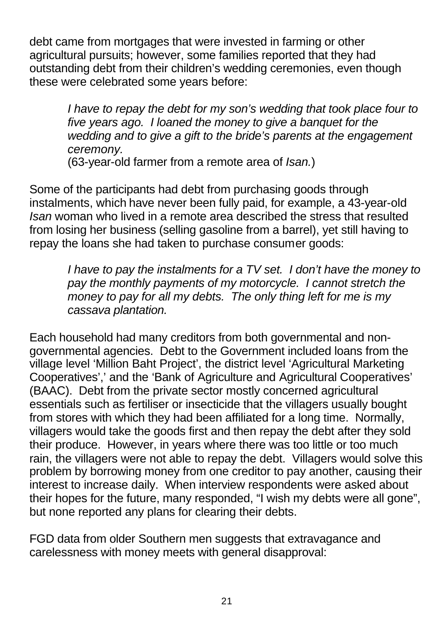debt came from mortgages that were invested in farming or other agricultural pursuits; however, some families reported that they had outstanding debt from their children's wedding ceremonies, even though these were celebrated some years before:

> *I have to repay the debt for my son's wedding that took place four to five years ago. I loaned the money to give a banquet for the wedding and to give a gift to the bride's parents at the engagement ceremony.*

(63-year-old farmer from a remote area of *Isan.*)

Some of the participants had debt from purchasing goods through instalments, which have never been fully paid, for example, a 43-year-old *Isan* woman who lived in a remote area described the stress that resulted from losing her business (selling gasoline from a barrel), yet still having to repay the loans she had taken to purchase consumer goods:

*I have to pay the instalments for a TV set. I don't have the money to pay the monthly payments of my motorcycle. I cannot stretch the money to pay for all my debts. The only thing left for me is my cassava plantation.*

Each household had many creditors from both governmental and nongovernmental agencies. Debt to the Government included loans from the village level 'Million Baht Project', the district level 'Agricultural Marketing Cooperatives',' and the 'Bank of Agriculture and Agricultural Cooperatives' (BAAC). Debt from the private sector mostly concerned agricultural essentials such as fertiliser or insecticide that the villagers usually bought from stores with which they had been affiliated for a long time. Normally, villagers would take the goods first and then repay the debt after they sold their produce. However, in years where there was too little or too much rain, the villagers were not able to repay the debt. Villagers would solve this problem by borrowing money from one creditor to pay another, causing their interest to increase daily. When interview respondents were asked about their hopes for the future, many responded, "I wish my debts were all gone", but none reported any plans for clearing their debts.

FGD data from older Southern men suggests that extravagance and carelessness with money meets with general disapproval: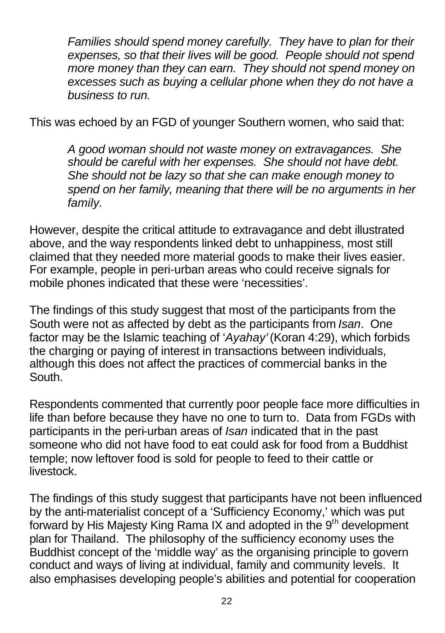*Families should spend money carefully. They have to plan for their expenses, so that their lives will be good. People should not spend more money than they can earn. They should not spend money on excesses such as buying a cellular phone when they do not have a business to run.*

This was echoed by an FGD of younger Southern women, who said that:

*A good woman should not waste money on extravagances. She should be careful with her expenses. She should not have debt. She should not be lazy so that she can make enough money to spend on her family, meaning that there will be no arguments in her family.*

However, despite the critical attitude to extravagance and debt illustrated above, and the way respondents linked debt to unhappiness, most still claimed that they needed more material goods to make their lives easier. For example, people in peri-urban areas who could receive signals for mobile phones indicated that these were 'necessities'.

The findings of this study suggest that most of the participants from the South were not as affected by debt as the participants from *Isan*. One factor may be the Islamic teaching of '*Ayahay'* (Koran 4:29), which forbids the charging or paying of interest in transactions between individuals, although this does not affect the practices of commercial banks in the South.

Respondents commented that currently poor people face more difficulties in life than before because they have no one to turn to. Data from FGDs with participants in the peri-urban areas of *Isan* indicated that in the past someone who did not have food to eat could ask for food from a Buddhist temple; now leftover food is sold for people to feed to their cattle or livestock.

The findings of this study suggest that participants have not been influenced by the anti-materialist concept of a 'Sufficiency Economy,' which was put forward by His Majesty King Rama IX and adopted in the 9<sup>th</sup> development plan for Thailand. The philosophy of the sufficiency economy uses the Buddhist concept of the 'middle way' as the organising principle to govern conduct and ways of living at individual, family and community levels. It also emphasises developing people's abilities and potential for cooperation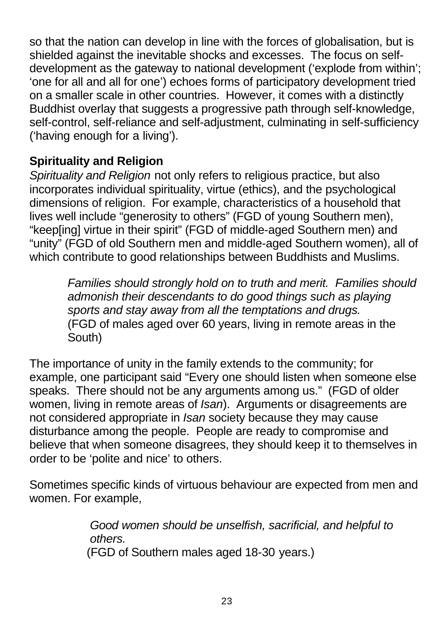so that the nation can develop in line with the forces of globalisation, but is shielded against the inevitable shocks and excesses. The focus on selfdevelopment as the gateway to national development ('explode from within'; 'one for all and all for one') echoes forms of participatory development tried on a smaller scale in other countries. However, it comes with a distinctly Buddhist overlay that suggests a progressive path through self-knowledge, self-control, self-reliance and self-adjustment, culminating in self-sufficiency ('having enough for a living').

## **Spirituality and Religion**

*Spirituality and Religion* not only refers to religious practice, but also incorporates individual spirituality, virtue (ethics), and the psychological dimensions of religion. For example, characteristics of a household that lives well include "generosity to others" (FGD of young Southern men), "keep[ing] virtue in their spirit" (FGD of middle-aged Southern men) and "unity" (FGD of old Southern men and middle-aged Southern women), all of which contribute to good relationships between Buddhists and Muslims.

*Families should strongly hold on to truth and merit. Families should admonish their descendants to do good things such as playing sports and stay away from all the temptations and drugs.* (FGD of males aged over 60 years, living in remote areas in the South)

The importance of unity in the family extends to the community; for example, one participant said "Every one should listen when someone else speaks. There should not be any arguments among us." (FGD of older women, living in remote areas of *Isan*). Arguments or disagreements are not considered appropriate in *Isan* society because they may cause disturbance among the people. People are ready to compromise and believe that when someone disagrees, they should keep it to themselves in order to be 'polite and nice' to others.

Sometimes specific kinds of virtuous behaviour are expected from men and women. For example,

> *Good women should be unselfish, sacrificial, and helpful to others.*  (FGD of Southern males aged 18-30 years.)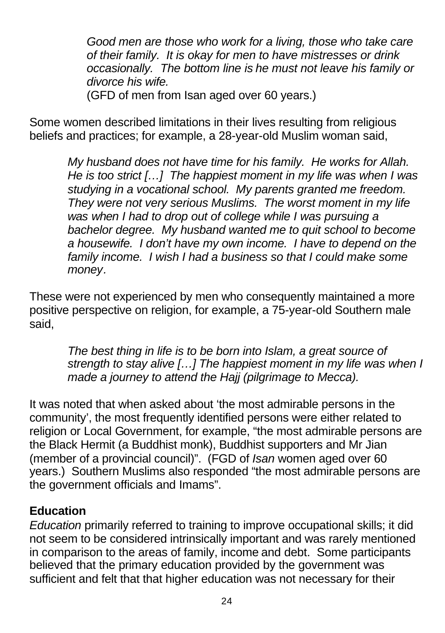*Good men are those who work for a living, those who take care of their family. It is okay for men to have mistresses or drink occasionally. The bottom line is he must not leave his family or divorce his wife.*

(GFD of men from Isan aged over 60 years.)

Some women described limitations in their lives resulting from religious beliefs and practices; for example, a 28-year-old Muslim woman said,

> *My husband does not have time for his family. He works for Allah. He is too strict […] The happiest moment in my life was when I was studying in a vocational school. My parents granted me freedom. They were not very serious Muslims. The worst moment in my life was when I had to drop out of college while I was pursuing a bachelor degree. My husband wanted me to quit school to become a housewife. I don't have my own income. I have to depend on the family income. I wish I had a business so that I could make some money.*

These were not experienced by men who consequently maintained a more positive perspective on religion, for example, a 75-year-old Southern male said,

*The best thing in life is to be born into Islam, a great source of strength to stay alive […] The happiest moment in my life was when I made a journey to attend the Hajj (pilgrimage to Mecca).*

It was noted that when asked about 'the most admirable persons in the community', the most frequently identified persons were either related to religion or Local Government, for example, "the most admirable persons are the Black Hermit (a Buddhist monk), Buddhist supporters and Mr Jian (member of a provincial council)". (FGD of *Isan* women aged over 60 years.) Southern Muslims also responded "the most admirable persons are the government officials and Imams".

### **Education**

*Education* primarily referred to training to improve occupational skills; it did not seem to be considered intrinsically important and was rarely mentioned in comparison to the areas of family, income and debt. Some participants believed that the primary education provided by the government was sufficient and felt that that higher education was not necessary for their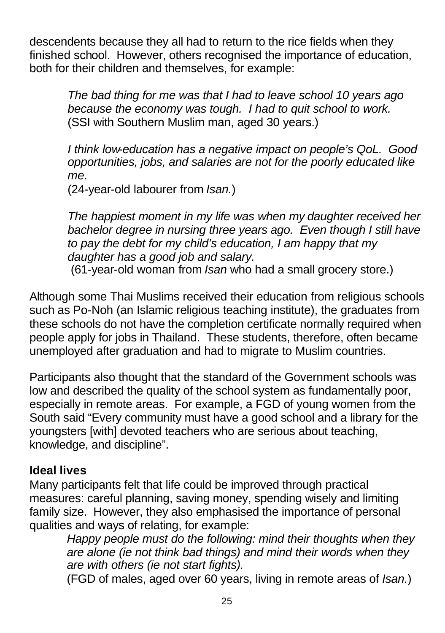descendents because they all had to return to the rice fields when they finished school. However, others recognised the importance of education, both for their children and themselves, for example:

> *The bad thing for me was that I had to leave school 10 years ago because the economy was tough. I had to quit school to work.* (SSI with Southern Muslim man, aged 30 years.)

*I think low-education has a negative impact on people's QoL. Good opportunities, jobs, and salaries are not for the poorly educated like me.*

(24-year-old labourer from *Isan.*)

*The happiest moment in my life was when my daughter received her bachelor degree in nursing three years ago. Even though I still have to pay the debt for my child's education, I am happy that my daughter has a good job and salary.*

(61-year-old woman from *Isan* who had a small grocery store.)

Although some Thai Muslims received their education from religious schools such as Po-Noh (an Islamic religious teaching institute), the graduates from these schools do not have the completion certificate normally required when people apply for jobs in Thailand. These students, therefore, often became unemployed after graduation and had to migrate to Muslim countries.

Participants also thought that the standard of the Government schools was low and described the quality of the school system as fundamentally poor, especially in remote areas. For example, a FGD of young women from the South said "Every community must have a good school and a library for the youngsters [with] devoted teachers who are serious about teaching, knowledge, and discipline".

# **Ideal lives**

Many participants felt that life could be improved through practical measures: careful planning, saving money, spending wisely and limiting family size. However, they also emphasised the importance of personal qualities and ways of relating, for example:

*Happy people must do the following: mind their thoughts when they are alone (ie not think bad things) and mind their words when they are with others (ie not start fights).*

(FGD of males, aged over 60 years, living in remote areas of *Isan.*)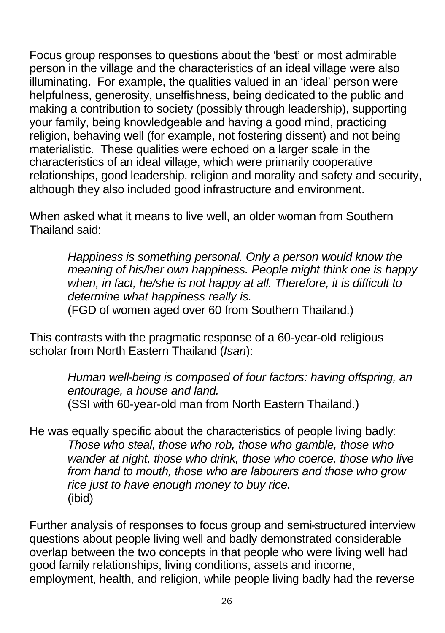Focus group responses to questions about the 'best' or most admirable person in the village and the characteristics of an ideal village were also illuminating. For example, the qualities valued in an 'ideal' person were helpfulness, generosity, unselfishness, being dedicated to the public and making a contribution to society (possibly through leadership), supporting your family, being knowledgeable and having a good mind, practicing religion, behaving well (for example, not fostering dissent) and not being materialistic. These qualities were echoed on a larger scale in the characteristics of an ideal village, which were primarily cooperative relationships, good leadership, religion and morality and safety and security, although they also included good infrastructure and environment.

When asked what it means to live well, an older woman from Southern Thailand said:

> *Happiness is something personal. Only a person would know the meaning of his/her own happiness. People might think one is happy when, in fact, he/she is not happy at all. Therefore, it is difficult to determine what happiness really is.*

(FGD of women aged over 60 from Southern Thailand.)

This contrasts with the pragmatic response of a 60-year-old religious scholar from North Eastern Thailand (*Isan*):

> *Human well-being is composed of four factors: having offspring, an entourage, a house and land.* (SSI with 60-year-old man from North Eastern Thailand.)

He was equally specific about the characteristics of people living badly: *Those who steal, those who rob, those who gamble, those who wander at night, those who drink, those who coerce, those who live from hand to mouth, those who are labourers and those who grow rice just to have enough money to buy rice.* (ibid)

Further analysis of responses to focus group and semi-structured interview questions about people living well and badly demonstrated considerable overlap between the two concepts in that people who were living well had good family relationships, living conditions, assets and income, employment, health, and religion, while people living badly had the reverse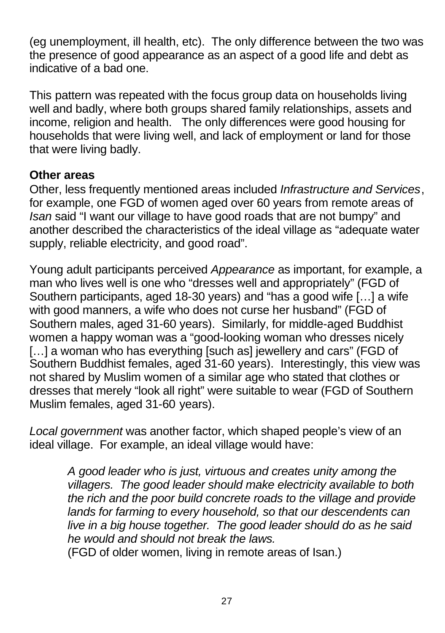(eg unemployment, ill health, etc). The only difference between the two was the presence of good appearance as an aspect of a good life and debt as indicative of a bad one.

This pattern was repeated with the focus group data on households living well and badly, where both groups shared family relationships, assets and income, religion and health. The only differences were good housing for households that were living well, and lack of employment or land for those that were living badly.

#### **Other areas**

Other, less frequently mentioned areas included *Infrastructure and Services*, for example, one FGD of women aged over 60 years from remote areas of *Isan* said "I want our village to have good roads that are not bumpy" and another described the characteristics of the ideal village as "adequate water supply, reliable electricity, and good road".

Young adult participants perceived *Appearance* as important, for example, a man who lives well is one who "dresses well and appropriately" (FGD of Southern participants, aged 18-30 years) and "has a good wife […] a wife with good manners, a wife who does not curse her husband" (FGD of Southern males, aged 31-60 years). Similarly, for middle-aged Buddhist women a happy woman was a "good-looking woman who dresses nicely [...] a woman who has everything [such as] jewellery and cars" (FGD of Southern Buddhist females, aged 31-60 years). Interestingly, this view was not shared by Muslim women of a similar age who stated that clothes or dresses that merely "look all right" were suitable to wear (FGD of Southern Muslim females, aged 31-60 years).

*Local government* was another factor, which shaped people's view of an ideal village. For example, an ideal village would have:

> *A good leader who is just, virtuous and creates unity among the villagers. The good leader should make electricity available to both the rich and the poor build concrete roads to the village and provide lands for farming to every household, so that our descendents can live in a big house together. The good leader should do as he said he would and should not break the laws.*

(FGD of older women, living in remote areas of Isan.)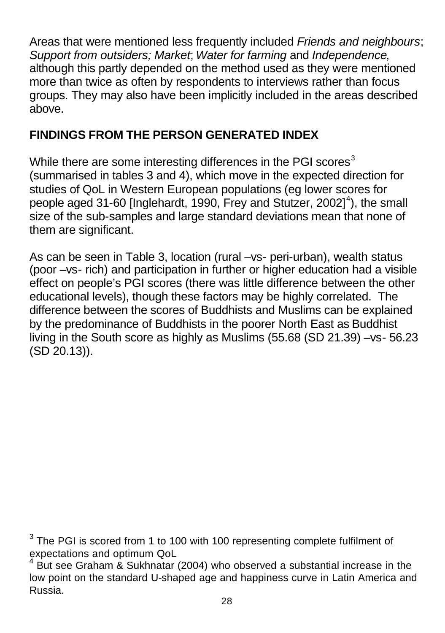Areas that were mentioned less frequently included *Friends and neighbours*; *Support from outsiders; Market*; *Water for farming* and *Independence*, although this partly depended on the method used as they were mentioned more than twice as often by respondents to interviews rather than focus groups. They may also have been implicitly included in the areas described above.

## **FINDINGS FROM THE PERSON GENERATED INDEX**

While there are some interesting differences in the PGI scores $3$ (summarised in tables 3 and 4), which move in the expected direction for studies of QoL in Western European populations (eg lower scores for people aged 31-60 [Inglehardt, 1990, Frey and Stutzer, 2002]<sup>4</sup>), the small size of the sub-samples and large standard deviations mean that none of them are significant.

As can be seen in Table 3, location (rural –vs- peri-urban), wealth status (poor –vs- rich) and participation in further or higher education had a visible effect on people's PGI scores (there was little difference between the other educational levels), though these factors may be highly correlated. The difference between the scores of Buddhists and Muslims can be explained by the predominance of Buddhists in the poorer North East as Buddhist living in the South score as highly as Muslims (55.68 (SD 21.39) –vs- 56.23 (SD 20.13)).

 $3$  The PGI is scored from 1 to 100 with 100 representing complete fulfilment of expectations and optimum QoL

<sup>4</sup> But see Graham & Sukhnatar (2004) who observed a substantial increase in the low point on the standard U-shaped age and happiness curve in Latin America and Russia.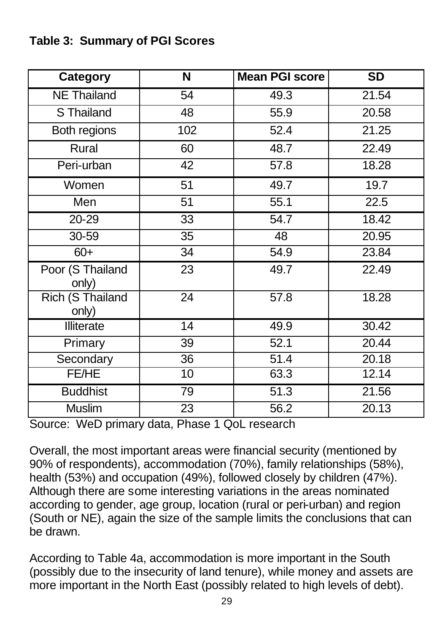# **Table 3: Summary of PGI Scores**

| Category                         | $\overline{\mathsf{N}}$ | <b>Mean PGI score</b> | $\overline{SD}$ |
|----------------------------------|-------------------------|-----------------------|-----------------|
| <b>NE Thailand</b>               | 54                      | 49.3                  | 21.54           |
| S Thailand                       | 48                      | 55.9                  | 20.58           |
| Both regions                     | 102                     | 52.4                  | 21.25           |
| Rural                            | 60                      | 48.7                  | 22.49           |
| Peri-urban                       | 42                      | 57.8                  | 18.28           |
| Women                            | 51                      | 49.7                  | 19.7            |
| Men                              | 51                      | 55.1                  | 22.5            |
| 20-29                            | 33                      | 54.7                  | 18.42           |
| 30-59                            | 35                      | 48                    | 20.95           |
| $60+$                            | 34                      | 54.9                  | 23.84           |
| Poor (S Thailand<br>only)        | 23                      | 49.7                  | 22.49           |
| <b>Rich (S Thailand</b><br>only) | 24                      | 57.8                  | 18.28           |
| Illiterate                       | 14                      | 49.9                  | 30.42           |
| Primary                          | 39                      | 52.1                  | 20.44           |
| Secondary                        | 36                      | 51.4                  | 20.18           |
| FE/HE                            | 10                      | 63.3                  | 12.14           |
| <b>Buddhist</b>                  | 79                      | 51.3                  | 21.56           |
| Muslim                           | 23                      | 56.2                  | 20.13           |

Source: WeD primary data, Phase 1 QoL research

Overall, the most important areas were financial security (mentioned by 90% of respondents), accommodation (70%), family relationships (58%), health (53%) and occupation (49%), followed closely by children (47%). Although there are some interesting variations in the areas nominated according to gender, age group, location (rural or peri-urban) and region (South or NE), again the size of the sample limits the conclusions that can be drawn.

According to Table 4a, accommodation is more important in the South (possibly due to the insecurity of land tenure), while money and assets are more important in the North East (possibly related to high levels of debt).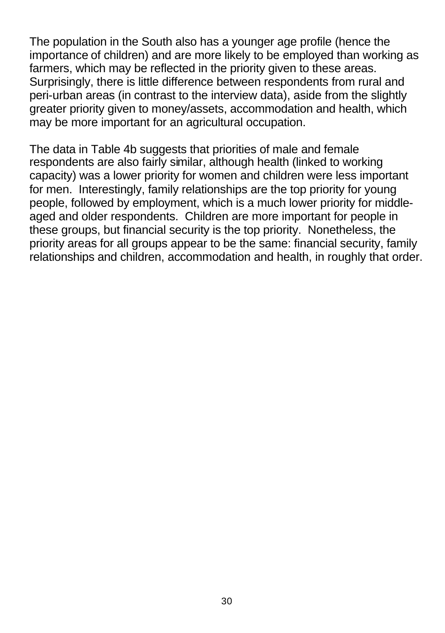The population in the South also has a younger age profile (hence the importance of children) and are more likely to be employed than working as farmers, which may be reflected in the priority given to these areas. Surprisingly, there is little difference between respondents from rural and peri-urban areas (in contrast to the interview data), aside from the slightly greater priority given to money/assets, accommodation and health, which may be more important for an agricultural occupation.

The data in Table 4b suggests that priorities of male and female respondents are also fairly similar, although health (linked to working capacity) was a lower priority for women and children were less important for men. Interestingly, family relationships are the top priority for young people, followed by employment, which is a much lower priority for middleaged and older respondents. Children are more important for people in these groups, but financial security is the top priority. Nonetheless, the priority areas for all groups appear to be the same: financial security, family relationships and children, accommodation and health, in roughly that order.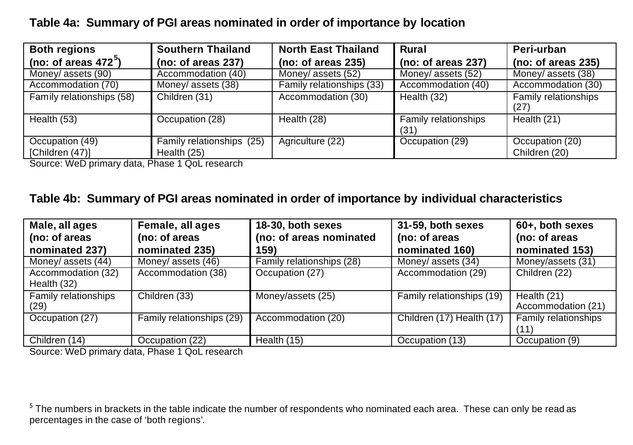#### **Table 4a: Summary of PGI areas nominated in order of importance by location**

| <b>Both regions</b>                | <b>Southern Thailand</b>                 | <b>North East Thailand</b> | Rural                               | Peri-urban                       |
|------------------------------------|------------------------------------------|----------------------------|-------------------------------------|----------------------------------|
| (no: of areas $472^{\circ}$ )      | (no: of areas 237)                       | (no: of areas 235)         | (no: of areas $237$ )               | (no: of areas 235)               |
| Money/ assets (90)                 | Accommodation (40)                       | Money/ assets (52)         | Money/ assets (52)                  | Money/ assets (38)               |
| Accommodation (70)                 | Money/ assets (38)                       | Family relationships (33)  | Accommodation (40)                  | Accommodation (30)               |
| Family relationships (58)          | Children (31)                            | Accommodation (30)         | Health (32)                         | Family relationships<br>(27)     |
| Health (53)                        | Occupation (28)                          | Health (28)                | <b>Family relationships</b><br>(31) | Health (21)                      |
| Occupation (49)<br>[Children (47)] | Family relationships (25)<br>Health (25) | Agriculture (22)           | Occupation (29)                     | Occupation (20)<br>Children (20) |

Source: WeD primary data, Phase 1 QoL research

#### **Table 4b: Summary of PGI areas nominated in order of importance by individual characteristics**

| Male, all ages       | Female, all ages          | 18-30, both sexes         | 31-59, both sexes         | 60+, both sexes      |
|----------------------|---------------------------|---------------------------|---------------------------|----------------------|
| (no: of areas        | (no: of areas             | (no: of areas nominated   | (no: of areas             | (no: of areas        |
| nominated 237)       | nominated 235)            | 159)                      | nominated 160)            | nominated 153)       |
| Money/ assets (44)   | Money/ assets (46)        | Family relationships (28) | Money/ assets (34)        | Money/assets (31)    |
| Accommodation (32)   | Accommodation (38)        | Occupation (27)           | Accommodation (29)        | Children (22)        |
| Health (32)          |                           |                           |                           |                      |
| Family relationships | Children (33)             | Money/assets (25)         | Family relationships (19) | Health (21)          |
| (29)                 |                           |                           |                           | Accommodation (21)   |
| Occupation (27)      | Family relationships (29) | Accommodation (20)        | Children (17) Health (17) | Family relationships |
|                      |                           |                           |                           | (11)                 |
| Children (14)        | Occupation (22)           | Health $(15)$             | Occupation (13)           | Occupation (9)       |

Source: WeD primary data, Phase 1 QoL research

 $^5$  The numbers in brackets in the table indicate the number of respondents who nominated each area. These can only be read as percentages in the case of 'both regions'.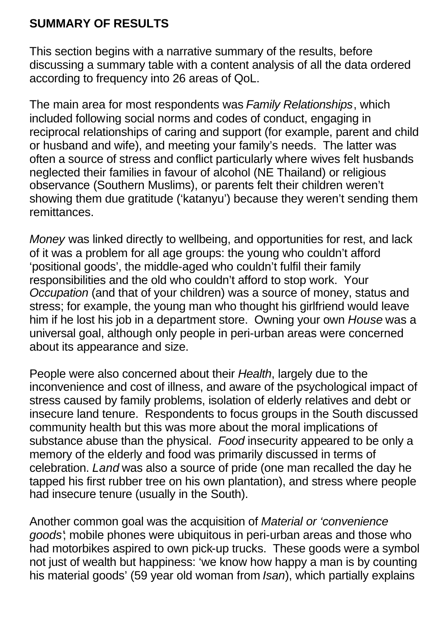## **SUMMARY OF RESULTS**

This section begins with a narrative summary of the results, before discussing a summary table with a content analysis of all the data ordered according to frequency into 26 areas of QoL.

The main area for most respondents was *Family Relationships*, which included following social norms and codes of conduct, engaging in reciprocal relationships of caring and support (for example, parent and child or husband and wife), and meeting your family's needs. The latter was often a source of stress and conflict particularly where wives felt husbands neglected their families in favour of alcohol (NE Thailand) or religious observance (Southern Muslims), or parents felt their children weren't showing them due gratitude ('katanyu') because they weren't sending them remittances.

*Money* was linked directly to wellbeing, and opportunities for rest, and lack of it was a problem for all age groups: the young who couldn't afford 'positional goods', the middle-aged who couldn't fulfil their family responsibilities and the old who couldn't afford to stop work. Your *Occupation* (and that of your children) was a source of money, status and stress; for example, the young man who thought his girlfriend would leave him if he lost his job in a department store. Owning your own *House* was a universal goal, although only people in peri-urban areas were concerned about its appearance and size.

People were also concerned about their *Health*, largely due to the inconvenience and cost of illness, and aware of the psychological impact of stress caused by family problems, isolation of elderly relatives and debt or insecure land tenure. Respondents to focus groups in the South discussed community health but this was more about the moral implications of substance abuse than the physical. *Food* insecurity appeared to be only a memory of the elderly and food was primarily discussed in terms of celebration. *Land* was also a source of pride (one man recalled the day he tapped his first rubber tree on his own plantation), and stress where people had insecure tenure (usually in the South).

Another common goal was the acquisition of *Material or 'convenience goods'*; mobile phones were ubiquitous in peri-urban areas and those who had motorbikes aspired to own pick-up trucks. These goods were a symbol not just of wealth but happiness: 'we know how happy a man is by counting his material goods' (59 year old woman from *Isan*), which partially explains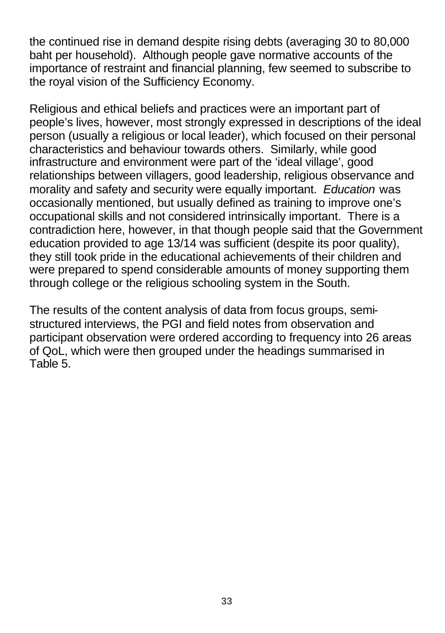the continued rise in demand despite rising debts (averaging 30 to 80,000 baht per household). Although people gave normative accounts of the importance of restraint and financial planning, few seemed to subscribe to the royal vision of the Sufficiency Economy.

Religious and ethical beliefs and practices were an important part of people's lives, however, most strongly expressed in descriptions of the ideal person (usually a religious or local leader), which focused on their personal characteristics and behaviour towards others. Similarly, while good infrastructure and environment were part of the 'ideal village', good relationships between villagers, good leadership, religious observance and morality and safety and security were equally important. *Education* was occasionally mentioned, but usually defined as training to improve one's occupational skills and not considered intrinsically important. There is a contradiction here, however, in that though people said that the Government education provided to age 13/14 was sufficient (despite its poor quality), they still took pride in the educational achievements of their children and were prepared to spend considerable amounts of money supporting them through college or the religious schooling system in the South.

The results of the content analysis of data from focus groups, semistructured interviews, the PGI and field notes from observation and participant observation were ordered according to frequency into 26 areas of QoL, which were then grouped under the headings summarised in Table 5.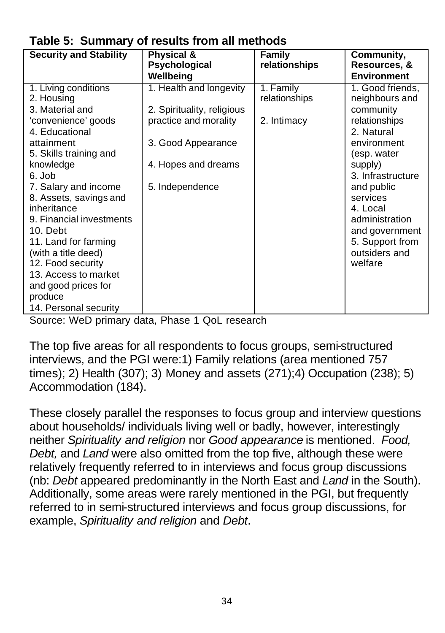| . ap.o o. ca                                                                                                                                                                                                                                                                                                                                                                                         |                                                                                                                                                |                                           |                                                                                                                                                                                                                                                                       |  |
|------------------------------------------------------------------------------------------------------------------------------------------------------------------------------------------------------------------------------------------------------------------------------------------------------------------------------------------------------------------------------------------------------|------------------------------------------------------------------------------------------------------------------------------------------------|-------------------------------------------|-----------------------------------------------------------------------------------------------------------------------------------------------------------------------------------------------------------------------------------------------------------------------|--|
| <b>Security and Stability</b>                                                                                                                                                                                                                                                                                                                                                                        | Physical &<br>Psychological<br>Wellbeing                                                                                                       | Family<br>relationships                   | Community,<br>Resources, &<br><b>Environment</b>                                                                                                                                                                                                                      |  |
| 1. Living conditions<br>2. Housing<br>3. Material and<br>'convenience' goods<br>4. Educational<br>attainment<br>5. Skills training and<br>knowledge<br>6. Job<br>7. Salary and income<br>8. Assets, savings and<br>inheritance<br>9. Financial investments<br>10. Debt<br>11. Land for farming<br>(with a title deed)<br>12. Food security<br>13. Access to market<br>and good prices for<br>produce | 1. Health and longevity<br>2. Spirituality, religious<br>practice and morality<br>3. Good Appearance<br>4. Hopes and dreams<br>5. Independence | 1. Family<br>relationships<br>2. Intimacy | 1. Good friends,<br>neighbours and<br>community<br>relationships<br>2. Natural<br>environment<br>(esp. water<br>supply)<br>3. Infrastructure<br>and public<br>services<br>4. Local<br>administration<br>and government<br>5. Support from<br>outsiders and<br>welfare |  |
| 14. Personal security                                                                                                                                                                                                                                                                                                                                                                                |                                                                                                                                                |                                           |                                                                                                                                                                                                                                                                       |  |

# **Table 5: Summary of results from all methods**

Source: WeD primary data, Phase 1 QoL research

The top five areas for all respondents to focus groups, semi-structured interviews, and the PGI were:1) Family relations (area mentioned 757 times); 2) Health (307); 3) Money and assets (271);4) Occupation (238); 5) Accommodation (184).

These closely parallel the responses to focus group and interview questions about households/ individuals living well or badly, however, interestingly neither *Spirituality and religion* nor *Good appearance* is mentioned. *Food, Debt,* and *Land* were also omitted from the top five, although these were relatively frequently referred to in interviews and focus group discussions (nb: *Debt* appeared predominantly in the North East and *Land* in the South). Additionally, some areas were rarely mentioned in the PGI, but frequently referred to in semi-structured interviews and focus group discussions, for example, *Spirituality and religion* and *Debt*.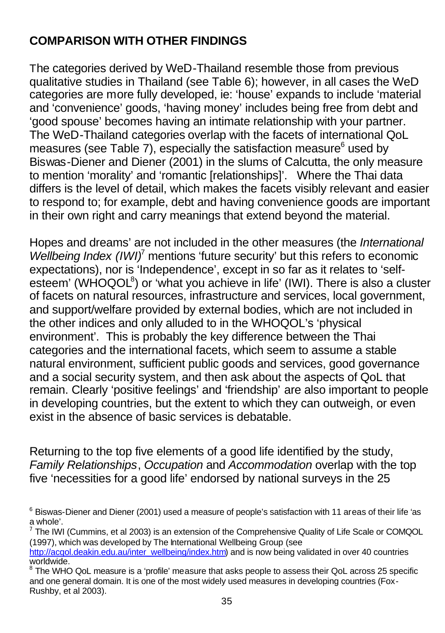# **COMPARISON WITH OTHER FINDINGS**

The categories derived by WeD-Thailand resemble those from previous qualitative studies in Thailand (see Table 6); however, in all cases the WeD categories are more fully developed, ie: 'house' expands to include 'material and 'convenience' goods, 'having money' includes being free from debt and 'good spouse' becomes having an intimate relationship with your partner. The WeD-Thailand categories overlap with the facets of international QoL measures (see Table 7), especially the satisfaction measure $^6$  used by Biswas-Diener and Diener (2001) in the slums of Calcutta, the only measure to mention 'morality' and 'romantic [relationships]'. Where the Thai data differs is the level of detail, which makes the facets visibly relevant and easier to respond to; for example, debt and having convenience goods are important in their own right and carry meanings that extend beyond the material.

Hopes and dreams' are not included in the other measures (the *International*  Wellbeing Index (IWI)<sup>7</sup> mentions 'future security' but this refers to economic expectations), nor is 'Independence', except in so far as it relates to 'selfesteem' (WHOQOL $^{8}$ ) or 'what you achieve in life' (IWI). There is also a cluster of facets on natural resources, infrastructure and services, local government, and support/welfare provided by external bodies, which are not included in the other indices and only alluded to in the WHOQOL's 'physical environment'. This is probably the key difference between the Thai categories and the international facets, which seem to assume a stable natural environment, sufficient public goods and services, good governance and a social security system, and then ask about the aspects of QoL that remain. Clearly 'positive feelings' and 'friendship' are also important to people in developing countries, but the extent to which they can outweigh, or even exist in the absence of basic services is debatable.

Returning to the top five elements of a good life identified by the study, *Family Relationships*, *Occupation* and *Accommodation* overlap with the top five 'necessities for a good life' endorsed by national surveys in the 25

 $^6$  Biswas-Diener and Diener (2001) used a measure of people's satisfaction with 11 areas of their life 'as a whole'.

 $^7$  The IWI (Cummins, et al 2003) is an extension of the Comprehensive Quality of Life Scale or COMQOL (1997), which was developed by The International Wellbeing Group (see

http://acqol.deakin.edu.au/inter\_wellbeing/index.htm) and is now being validated in over 40 countries worldwide.

 $8$  The WHO QoL measure is a 'profile' measure that asks people to assess their QoL across 25 specific and one general domain. It is one of the most widely used measures in developing countries (Fox-Rushby, et al 2003).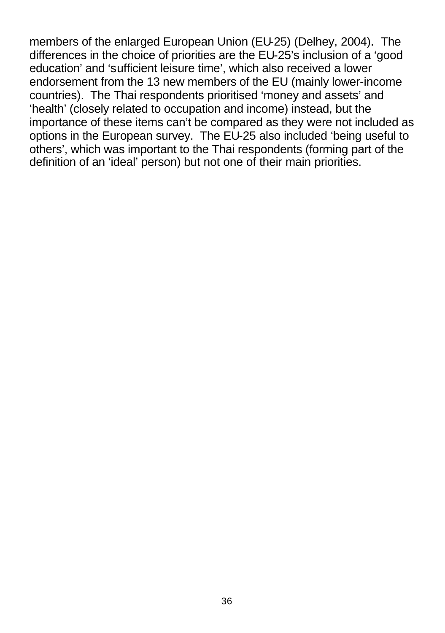members of the enlarged European Union (EU-25) (Delhey, 2004). The differences in the choice of priorities are the EU-25's inclusion of a 'good education' and 'sufficient leisure time', which also received a lower endorsement from the 13 new members of the EU (mainly lower-income countries). The Thai respondents prioritised 'money and assets' and 'health' (closely related to occupation and income) instead, but the importance of these items can't be compared as they were not included as options in the European survey. The EU-25 also included 'being useful to others', which was important to the Thai respondents (forming part of the definition of an 'ideal' person) but not one of their main priorities.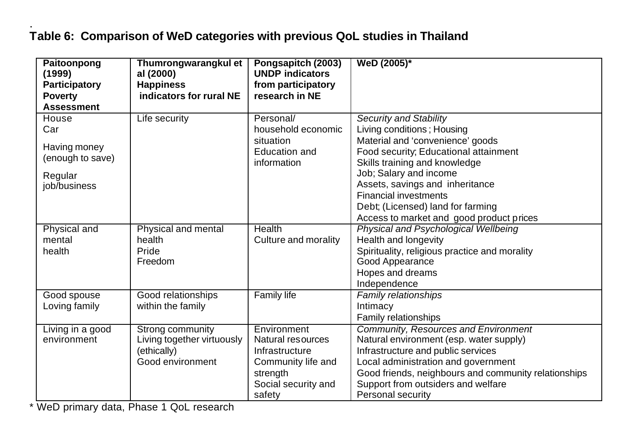#### . **Table 6: Comparison of WeD categories with previous QoL studies in Thailand**

| Paitoonpong          | Thumrongwarangkul et       | Pongsapitch (2003)     | WeD (2005)*                                          |
|----------------------|----------------------------|------------------------|------------------------------------------------------|
| (1999)               | al (2000)                  | <b>UNDP</b> indicators |                                                      |
| <b>Participatory</b> | <b>Happiness</b>           | from participatory     |                                                      |
| <b>Poverty</b>       | indicators for rural NE    | research in NE         |                                                      |
| <b>Assessment</b>    |                            |                        |                                                      |
| House                | Life security              | Personal/              | <b>Security and Stability</b>                        |
| Car                  |                            | household economic     | Living conditions; Housing                           |
| Having money         |                            | situation              | Material and 'convenience' goods                     |
| (enough to save)     |                            | <b>Education and</b>   | Food security; Educational attainment                |
|                      |                            | information            | Skills training and knowledge                        |
| Regular              |                            |                        | Job; Salary and income                               |
| job/business         |                            |                        | Assets, savings and inheritance                      |
|                      |                            |                        | <b>Financial investments</b>                         |
|                      |                            |                        | Debt; (Licensed) land for farming                    |
|                      |                            |                        | Access to market and good product prices             |
| Physical and         | Physical and mental        | Health                 | Physical and Psychological Wellbeing                 |
| mental               | health                     | Culture and morality   | Health and longevity                                 |
| health               | Pride                      |                        | Spirituality, religious practice and morality        |
|                      | Freedom                    |                        | Good Appearance                                      |
|                      |                            |                        | Hopes and dreams                                     |
|                      |                            |                        | Independence                                         |
| Good spouse          | Good relationships         | <b>Family life</b>     | Family relationships                                 |
| Loving family        | within the family          |                        | Intimacy                                             |
|                      |                            |                        | Family relationships                                 |
| Living in a good     | Strong community           | Environment            | Community, Resources and Environment                 |
| environment          | Living together virtuously | Natural resources      | Natural environment (esp. water supply)              |
|                      | (ethically)                | Infrastructure         | Infrastructure and public services                   |
|                      | Good environment           | Community life and     | Local administration and government                  |
|                      |                            | strength               | Good friends, neighbours and community relationships |
|                      |                            | Social security and    | Support from outsiders and welfare                   |
|                      |                            | safety                 | Personal security                                    |

\* WeD primary data, Phase 1 QoL research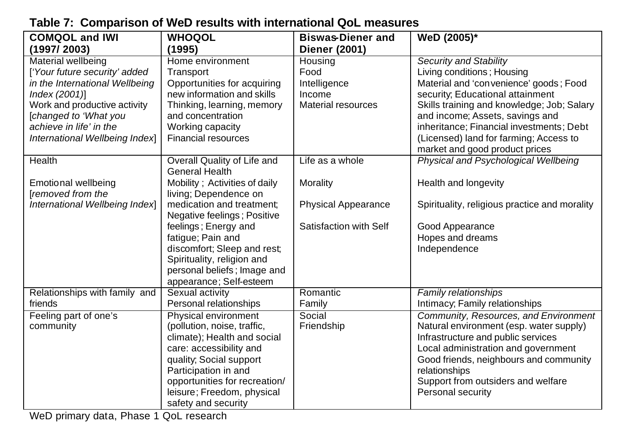| <b>COMQOL and IWI</b>                    | <b>WHOQOL</b>                                       | <b>Biswas-Diener and</b>   | WeD (2005)*                                                                      |
|------------------------------------------|-----------------------------------------------------|----------------------------|----------------------------------------------------------------------------------|
| (1997/2003)                              | (1995)                                              | <b>Diener (2001)</b>       |                                                                                  |
| <b>Material wellbeing</b>                | Home environment                                    | Housing                    | <b>Security and Stability</b>                                                    |
| ['Your future security' added            | Transport                                           | Food                       | Living conditions; Housing                                                       |
| in the International Wellbeing           | Opportunities for acquiring                         | Intelligence               | Material and 'convenience' goods; Food                                           |
| Index (2001)]                            | new information and skills                          | Income                     | security; Educational attainment                                                 |
| Work and productive activity             | Thinking, learning, memory                          | <b>Material resources</b>  | Skills training and knowledge; Job; Salary                                       |
| [changed to 'What you                    | and concentration                                   |                            | and income; Assets, savings and                                                  |
| achieve in life' in the                  | Working capacity                                    |                            | inheritance; Financial investments; Debt                                         |
| International Wellbeing Index]           | <b>Financial resources</b>                          |                            | (Licensed) land for farming; Access to                                           |
|                                          |                                                     |                            | market and good product prices                                                   |
| Health                                   | Overall Quality of Life and                         | Life as a whole            | Physical and Psychological Wellbeing                                             |
|                                          | General Health                                      |                            |                                                                                  |
| Emotional wellbeing                      | Mobility; Activities of daily                       | Morality                   | Health and longevity                                                             |
| <b>Tremoved from the</b>                 | living; Dependence on                               |                            |                                                                                  |
| International Wellbeing Index]           | medication and treatment:                           | <b>Physical Appearance</b> | Spirituality, religious practice and morality                                    |
|                                          | Negative feelings; Positive                         |                            |                                                                                  |
|                                          | feelings; Energy and                                | Satisfaction with Self     | Good Appearance                                                                  |
|                                          | fatigue; Pain and                                   |                            | Hopes and dreams                                                                 |
|                                          | discomfort; Sleep and rest;                         |                            | Independence                                                                     |
|                                          | Spirituality, religion and                          |                            |                                                                                  |
|                                          | personal beliefs; Image and                         |                            |                                                                                  |
|                                          | appearance; Self-esteem                             |                            |                                                                                  |
| Relationships with family and<br>friends | Sexual activity                                     | Romantic                   | <b>Family relationships</b>                                                      |
|                                          | Personal relationships                              | Family                     | Intimacy; Family relationships                                                   |
| Feeling part of one's<br>community       | Physical environment<br>(pollution, noise, traffic, | Social<br>Friendship       | Community, Resources, and Environment<br>Natural environment (esp. water supply) |
|                                          | climate); Health and social                         |                            | Infrastructure and public services                                               |
|                                          | care: accessibility and                             |                            | Local administration and government                                              |
|                                          | quality; Social support                             |                            | Good friends, neighbours and community                                           |
|                                          | Participation in and                                |                            | relationships                                                                    |
|                                          | opportunities for recreation/                       |                            | Support from outsiders and welfare                                               |
|                                          | leisure; Freedom, physical                          |                            | Personal security                                                                |
|                                          | safety and security                                 |                            |                                                                                  |
|                                          |                                                     |                            |                                                                                  |

### **Table 7: Comparison of WeD results with international QoL measures**

WeD primary data, Phase 1 QoL research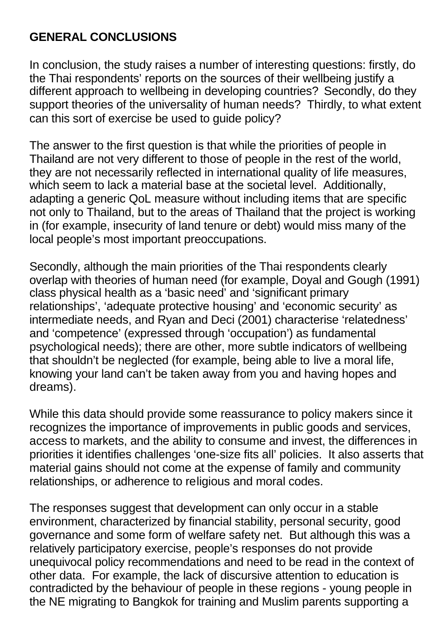# **GENERAL CONCLUSIONS**

In conclusion, the study raises a number of interesting questions: firstly, do the Thai respondents' reports on the sources of their wellbeing justify a different approach to wellbeing in developing countries? Secondly, do they support theories of the universality of human needs? Thirdly, to what extent can this sort of exercise be used to guide policy?

The answer to the first question is that while the priorities of people in Thailand are not very different to those of people in the rest of the world, they are not necessarily reflected in international quality of life measures, which seem to lack a material base at the societal level. Additionally, adapting a generic QoL measure without including items that are specific not only to Thailand, but to the areas of Thailand that the project is working in (for example, insecurity of land tenure or debt) would miss many of the local people's most important preoccupations.

Secondly, although the main priorities of the Thai respondents clearly overlap with theories of human need (for example, Doyal and Gough (1991) class physical health as a 'basic need' and 'significant primary relationships', 'adequate protective housing' and 'economic security' as intermediate needs, and Ryan and Deci (2001) characterise 'relatedness' and 'competence' (expressed through 'occupation') as fundamental psychological needs); there are other, more subtle indicators of wellbeing that shouldn't be neglected (for example, being able to live a moral life, knowing your land can't be taken away from you and having hopes and dreams).

While this data should provide some reassurance to policy makers since it recognizes the importance of improvements in public goods and services, access to markets, and the ability to consume and invest, the differences in priorities it identifies challenges 'one-size fits all' policies. It also asserts that material gains should not come at the expense of family and community relationships, or adherence to religious and moral codes.

The responses suggest that development can only occur in a stable environment, characterized by financial stability, personal security, good governance and some form of welfare safety net. But although this was a relatively participatory exercise, people's responses do not provide unequivocal policy recommendations and need to be read in the context of other data. For example, the lack of discursive attention to education is contradicted by the behaviour of people in these regions - young people in the NE migrating to Bangkok for training and Muslim parents supporting a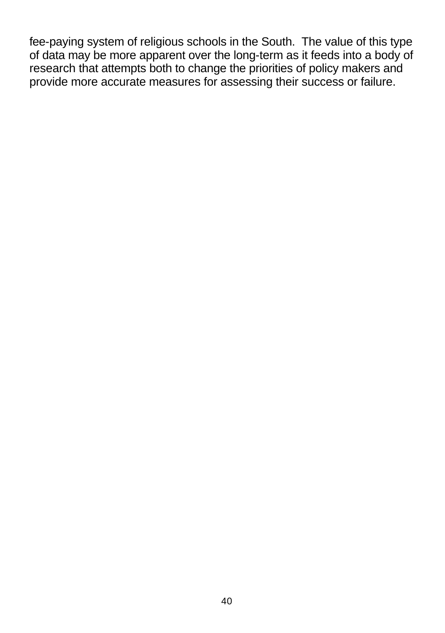fee-paying system of religious schools in the South. The value of this type of data may be more apparent over the long-term as it feeds into a body of research that attempts both to change the priorities of policy makers and provide more accurate measures for assessing their success or failure.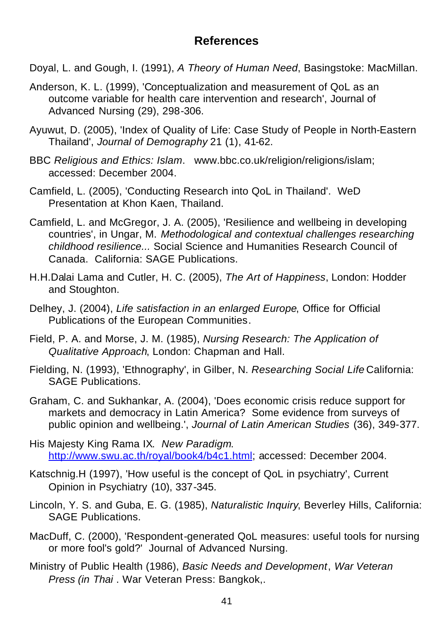#### **References**

- Doyal, L. and Gough, I. (1991), *A Theory of Human Need*, Basingstoke: MacMillan.
- Anderson, K. L. (1999), 'Conceptualization and measurement of QoL as an outcome variable for health care intervention and research', Journal of Advanced Nursing (29), 298-306.
- Ayuwut, D. (2005), 'Index of Quality of Life: Case Study of People in North-Eastern Thailand', *Journal of Demography* 21 (1), 41-62.
- BBC *Religious and Ethics: Islam*. www.bbc.co.uk/religion/religions/islam; accessed: December 2004.
- Camfield, L. (2005), 'Conducting Research into QoL in Thailand'. WeD Presentation at Khon Kaen, Thailand.
- Camfield, L. and McGregor, J. A. (2005), 'Resilience and wellbeing in developing countries', in Ungar, M. *Methodological and contextual challenges researching childhood resilience...* Social Science and Humanities Research Council of Canada. California: SAGE Publications.
- H.H.Dalai Lama and Cutler, H. C. (2005), *The Art of Happiness*, London: Hodder and Stoughton.
- Delhey, J. (2004), *Life satisfaction in an enlarged Europe*, Office for Official Publications of the European Communities.
- Field, P. A. and Morse, J. M. (1985), *Nursing Research: The Application of Qualitative Approach*, London: Chapman and Hall.
- Fielding, N. (1993), 'Ethnography', in Gilber, N. *Researching Social Life* California: SAGE Publications.
- Graham, C. and Sukhankar, A. (2004), 'Does economic crisis reduce support for markets and democracy in Latin America? Some evidence from surveys of public opinion and wellbeing.', *Journal of Latin American Studies* (36), 349-377.
- His Majesty King Rama IX. *New Paradigm*. http://www.swu.ac.th/royal/book4/b4c1.html; accessed: December 2004.
- Katschnig.H (1997), 'How useful is the concept of QoL in psychiatry', Current Opinion in Psychiatry (10), 337-345.
- Lincoln, Y. S. and Guba, E. G. (1985), *Naturalistic Inquiry*, Beverley Hills, California: SAGE Publications.
- MacDuff, C. (2000), 'Respondent-generated QoL measures: useful tools for nursing or more fool's gold?' Journal of Advanced Nursing.
- Ministry of Public Health (1986), *Basic Needs and Development*, *War Veteran Press (in Thai* . War Veteran Press: Bangkok,.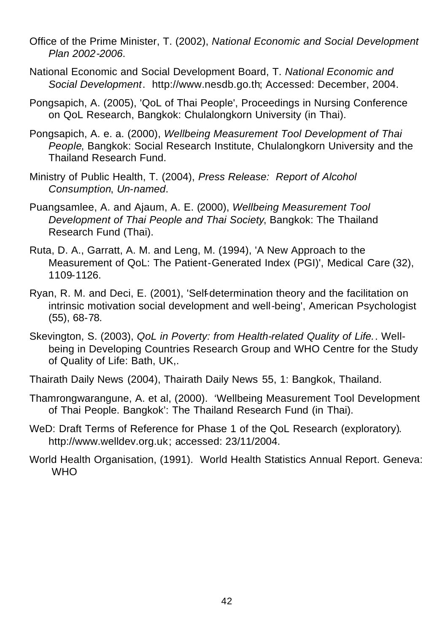- Office of the Prime Minister, T. (2002), *National Economic and Social Development Plan 2002-2006*.
- National Economic and Social Development Board, T. *National Economic and Social Development*. http://www.nesdb.go.th; Accessed: December, 2004.
- Pongsapich, A. (2005), 'QoL of Thai People', Proceedings in Nursing Conference on QoL Research, Bangkok: Chulalongkorn University (in Thai).
- Pongsapich, A. e. a. (2000), *Wellbeing Measurement Tool Development of Thai People*, Bangkok: Social Research Institute, Chulalongkorn University and the Thailand Research Fund.
- Ministry of Public Health, T. (2004), *Press Release: Report of Alcohol Consumption*, *Un-named*.
- Puangsamlee, A. and Ajaum, A. E. (2000), *Wellbeing Measurement Tool Development of Thai People and Thai Society*, Bangkok: The Thailand Research Fund (Thai).
- Ruta, D. A., Garratt, A. M. and Leng, M. (1994), 'A New Approach to the Measurement of QoL: The Patient-Generated Index (PGI)', Medical Care (32), 1109-1126.
- Ryan, R. M. and Deci, E. (2001), 'Self-determination theory and the facilitation on intrinsic motivation social development and well-being', American Psychologist (55), 68-78.
- Skevington, S. (2003), *QoL in Poverty: from Health-related Quality of Life.*. Wellbeing in Developing Countries Research Group and WHO Centre for the Study of Quality of Life: Bath, UK,.
- Thairath Daily News (2004), Thairath Daily News 55, 1: Bangkok, Thailand.
- Thamrongwarangune, A. et al, (2000). 'Wellbeing Measurement Tool Development of Thai People. Bangkok': The Thailand Research Fund (in Thai).
- WeD: Draft Terms of Reference for Phase 1 of the QoL Research (exploratory). http://www.welldev.org.uk; accessed: 23/11/2004.
- World Health Organisation, (1991). World Health Statistics Annual Report. Geneva: **WHO**